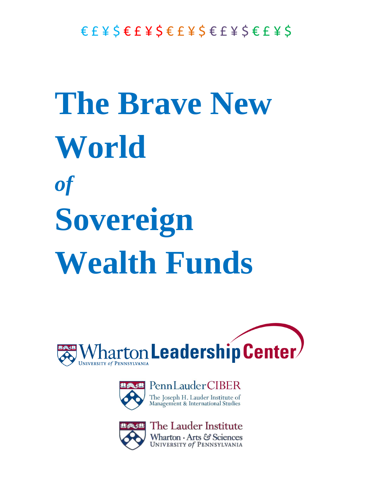## **The Brave New World** *of* **Sovereign Wealth Funds**





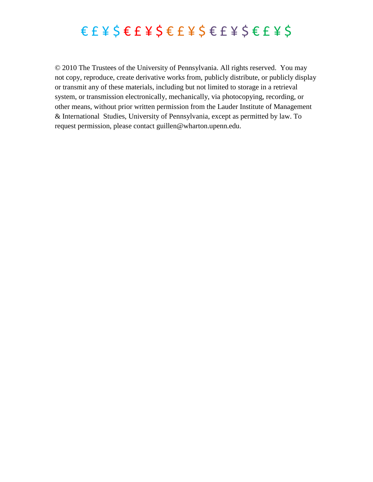### $\epsilon$   $\epsilon$   $\neq$   $\zeta$   $\epsilon$   $\epsilon$   $\leq$   $\epsilon$   $\leq$   $\epsilon$   $\leq$   $\epsilon$   $\leq$   $\epsilon$   $\leq$   $\epsilon$   $\leq$   $\epsilon$   $\leq$   $\epsilon$   $\leq$   $\epsilon$   $\leq$   $\epsilon$   $\leq$   $\epsilon$   $\leq$   $\epsilon$   $\leq$   $\epsilon$   $\leq$   $\epsilon$   $\leq$   $\epsilon$   $\leq$   $\epsilon$   $\leq$   $\epsilon$   $\leq$   $\epsilon$   $\$

© 2010 The Trustees of the University of Pennsylvania. All rights reserved. You may not copy, reproduce, create derivative works from, publicly distribute, or publicly display or transmit any of these materials, including but not limited to storage in a retrieval system, or transmission electronically, mechanically, via photocopying, recording, or other means, without prior written permission from the Lauder Institute of Management & International Studies, University of Pennsylvania, except as permitted by law. To request permission, please contact guillen@wharton.upenn.edu.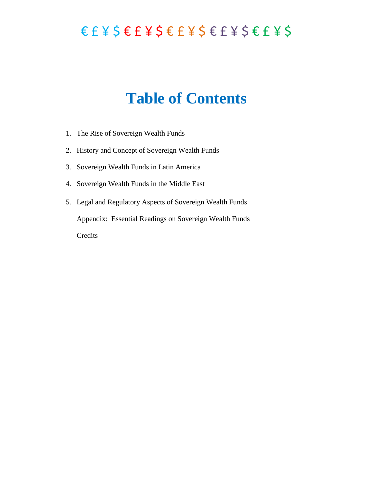### $E E E Y S E F Y S E F Y S E F Y S E F Y S$

### **Table of Contents**

- 1. The Rise of Sovereign Wealth Funds
- 2. History and Concept of Sovereign Wealth Funds
- 3. Sovereign Wealth Funds in Latin America
- 4. Sovereign Wealth Funds in the Middle East
- 5. Legal and Regulatory Aspects of Sovereign Wealth Funds Appendix: Essential Readings on Sovereign Wealth Funds Credits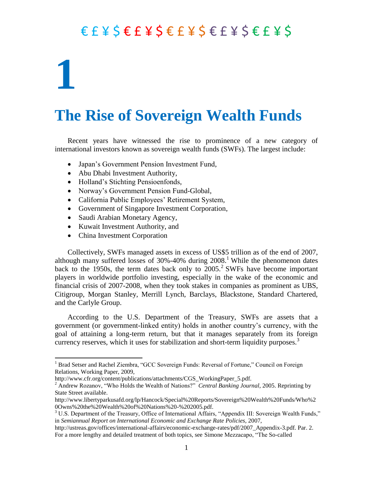# **1**

 $\overline{a}$ 

### **The Rise of Sovereign Wealth Funds**

Recent years have witnessed the rise to prominence of a new category of international investors known as sovereign wealth funds (SWFs). The largest include:

- Japan's Government Pension Investment Fund,
- Abu Dhabi Investment Authority,
- Holland's Stichting Pensioenfonds,
- Norway's Government Pension Fund-Global,
- California Public Employees' Retirement System,
- Government of Singapore Investment Corporation,
- Saudi Arabian Monetary Agency,
- Kuwait Investment Authority, and
- China Investment Corporation

Collectively, SWFs managed assets in excess of US\$5 trillion as of the end of 2007, although many suffered losses of 30%-40% during 2008. <sup>1</sup> While the phenomenon dates back to the 1950s, the term dates back only to  $2005.<sup>2</sup>$  SWFs have become important players in worldwide portfolio investing, especially in the wake of the economic and financial crisis of 2007-2008, when they took stakes in companies as prominent as UBS, Citigroup, Morgan Stanley, Merrill Lynch, Barclays, Blackstone, Standard Chartered, and the Carlyle Group.

According to the U.S. Department of the Treasury, SWFs are assets that a government (or government-linked entity) holds in another country's currency, with the goal of attaining a long-term return, but that it manages separately from its foreign currency reserves, which it uses for stabilization and short-term liquidity purposes.<sup>3</sup>

<sup>&</sup>lt;sup>1</sup> Brad Setser and Rachel Ziembra, "GCC Sovereign Funds: Reversal of Fortune," Council on Foreign Relations, Working Paper, 2009,

http://www.cfr.org/content/publications/attachments/CGS\_WorkingPaper\_5.pdf.

<sup>&</sup>lt;sup>2</sup> Andrew Rozanov, "Who Holds the Wealth of Nations?" *Central Banking Journal*, 2005. Reprinting by State Street available.

http://www.libertyparkusafd.org/lp/Hancock/Special%20Reports/Sovereign%20Wealth%20Funds/Who%2 0Owns%20the%20Wealth%20of%20Nations%20-%202005.pdf.

 $3 \text{ U.S. Department of the Treasury, Office of International Affairs, "Appendix III: Sovereign Wealth Funds,"$ in *Semiannual Report on International Economic and Exchange Rate Policies,* 2007,

http://ustreas.gov/offices/international-affairs/economic-exchange-rates/pdf/2007 Appendix-3.pdf. Par. 2. For a more lengthy and detailed treatment of both topics, see Simone Mezzacapo, "The So-called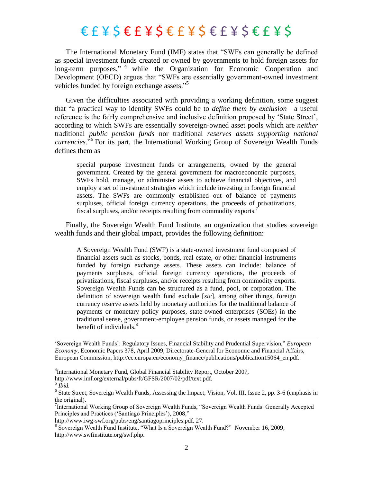The International Monetary Fund (IMF) states that "SWFs can generally be defined as special investment funds created or owned by governments to hold foreign assets for  $long-term$  purposes,"  $4$  while the Organization for Economic Cooperation and Development (OECD) argues that "SWFs are essentially government-owned investment vehicles funded by foreign exchange assets."

Given the difficulties associated with providing a working definition, some suggest that ―a practical way to identify SWFs could be to *define them by exclusion*—a useful reference is the fairly comprehensive and inclusive definition proposed by 'State Street', according to which SWFs are essentially sovereign-owned asset pools which are *neither* traditional *public pension funds* nor traditional *reserves assets supporting national*  currencies.<sup>56</sup> For its part, the International Working Group of Sovereign Wealth Funds defines them as

special purpose investment funds or arrangements, owned by the general government. Created by the general government for macroeconomic purposes, SWFs hold, manage, or administer assets to achieve financial objectives, and employ a set of investment strategies which include investing in foreign financial assets. The SWFs are commonly established out of balance of payments surpluses, official foreign currency operations, the proceeds of privatizations, fiscal surpluses, and/or receipts resulting from commodity exports.<sup>7</sup>

Finally, the Sovereign Wealth Fund Institute, an organization that studies sovereign wealth funds and their global impact, provides the following definition:

A Sovereign Wealth Fund (SWF) is a state-owned investment fund composed of financial assets such as stocks, bonds, real estate, or other financial instruments funded by foreign exchange assets. These assets can include: balance of payments surpluses, official foreign currency operations, the proceeds of privatizations, fiscal surpluses, and/or receipts resulting from commodity exports. Sovereign Wealth Funds can be structured as a fund, pool, or corporation. The definition of sovereign wealth fund exclude [*sic*], among other things, foreign currency reserve assets held by monetary authorities for the traditional balance of payments or monetary policy purposes, state-owned enterprises (SOEs) in the traditional sense, government-employee pension funds, or assets managed for the benefit of individuals. $8<sup>8</sup>$ 

‗Sovereign Wealth Funds': Regulatory Issues, Financial Stability and Prudential Supervision,‖ *European Economy,* Economic Papers 378, April 2009, Directorate-General for Economic and Financial Affairs, European Commission, http://ec.europa.eu/economy\_finance/publications/publication15064\_en.pdf.

http://www.imf.org/external/pubs/ft/GFSR/2007/02/pdf/text.pdf.

 $\overline{a}$ 

http://www.iwg-swf.org/pubs/eng/santiagoprinciples.pdf. 27.

<sup>8</sup> Sovereign Wealth Fund Institute, "What Is a Sovereign Wealth Fund?" November 16, 2009, http://www.swfinstitute.org/swf.php.

<sup>4</sup> International Monetary Fund, Global Financial Stability Report, October 2007,

<sup>5</sup> *Ibid.*

<sup>&</sup>lt;sup>6</sup> State Street, Sovereign Wealth Funds, Assessing the Impact, Vision, Vol. III, Issue 2, pp. 3-6 (emphasis in the original).

<sup>&</sup>lt;sup>7</sup>International Working Group of Sovereign Wealth Funds, "Sovereign Wealth Funds: Generally Accepted Principles and Practices ('Santiago Principles'), 2008,"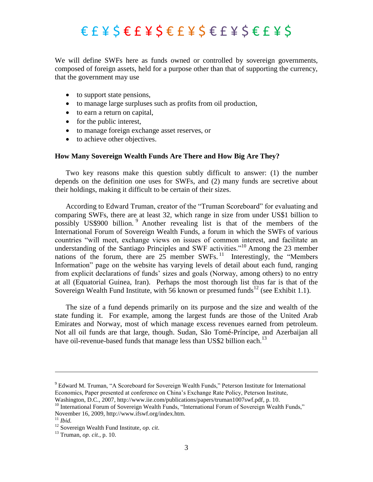We will define SWFs here as funds owned or controlled by sovereign governments, composed of foreign assets, held for a purpose other than that of supporting the currency, that the government may use

- to support state pensions,
- to manage large surpluses such as profits from oil production,
- to earn a return on capital,
- $\bullet$  for the public interest,
- to manage foreign exchange asset reserves, or
- to achieve other objectives.

#### **How Many Sovereign Wealth Funds Are There and How Big Are They?**

Two key reasons make this question subtly difficult to answer: (1) the number depends on the definition one uses for SWFs, and (2) many funds are secretive about their holdings, making it difficult to be certain of their sizes.

According to Edward Truman, creator of the "Truman Scoreboard" for evaluating and comparing SWFs, there are at least 32, which range in size from under US\$1 billion to possibly US\$900 billion. <sup>9</sup> Another revealing list is that of the members of the International Forum of Sovereign Wealth Funds, a forum in which the SWFs of various countries "will meet, exchange views on issues of common interest, and facilitate an understanding of the Santiago Principles and SWF activities.<sup> $10$ </sup> Among the 23 member nations of the forum, there are  $25$  member SWFs.<sup>11</sup> Interestingly, the "Members" Information" page on the website has varying levels of detail about each fund, ranging from explicit declarations of funds' sizes and goals (Norway, among others) to no entry at all (Equatorial Guinea, Iran). Perhaps the most thorough list thus far is that of the Sovereign Wealth Fund Institute, with 56 known or presumed funds<sup>12</sup> (see Exhibit 1.1).

The size of a fund depends primarily on its purpose and the size and wealth of the state funding it. For example, among the largest funds are those of the United Arab Emirates and Norway, most of which manage excess revenues earned from petroleum. Not all oil funds are that large, though. Sudan, São Tomé-Príncipe, and Azerbaijan all have oil-revenue-based funds that manage less than US\$2 billion each.<sup>13</sup>

<sup>&</sup>lt;sup>9</sup> Edward M. Truman, "A Scoreboard for Sovereign Wealth Funds," Peterson Institute for International Economics, Paper presented at conference on China's Exchange Rate Policy, Peterson Institute, Washington, D.C., 2007, http://www.iie.com/publications/papers/truman1007swf.pdf, p. 10.

<sup>&</sup>lt;sup>10</sup> International Forum of Sovereign Wealth Funds, "International Forum of Sovereign Wealth Funds," November 16, 2009, http://www.ifswf.org/index.htm.

<sup>11</sup> *Ibid.*

<sup>12</sup> Sovereign Wealth Fund Institute, *op. cit*.

<sup>13</sup> Truman, *op. cit.,* p. 10.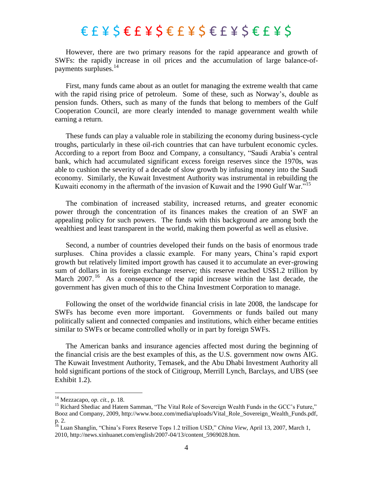However, there are two primary reasons for the rapid appearance and growth of SWFs: the rapidly increase in oil prices and the accumulation of large balance-ofpayments surpluses. $^{14}$ 

First, many funds came about as an outlet for managing the extreme wealth that came with the rapid rising price of petroleum. Some of these, such as Norway's, double as pension funds. Others, such as many of the funds that belong to members of the Gulf Cooperation Council, are more clearly intended to manage government wealth while earning a return.

These funds can play a valuable role in stabilizing the economy during business-cycle troughs, particularly in these oil-rich countries that can have turbulent economic cycles. According to a report from Booz and Company, a consultancy, "Saudi Arabia's central bank, which had accumulated significant excess foreign reserves since the 1970s, was able to cushion the severity of a decade of slow growth by infusing money into the Saudi economy. Similarly, the Kuwait Investment Authority was instrumental in rebuilding the Kuwaiti economy in the aftermath of the invasion of Kuwait and the 1990 Gulf War."<sup>15</sup>

The combination of increased stability, increased returns, and greater economic power through the concentration of its finances makes the creation of an SWF an appealing policy for such powers. The funds with this background are among both the wealthiest and least transparent in the world, making them powerful as well as elusive.

Second, a number of countries developed their funds on the basis of enormous trade surpluses. China provides a classic example. For many years, China's rapid export growth but relatively limited import growth has caused it to accumulate an ever-growing sum of dollars in its foreign exchange reserve; this reserve reached US\$1.2 trillion by March 2007.<sup>16</sup> As a consequence of the rapid increase within the last decade, the government has given much of this to the China Investment Corporation to manage.

Following the onset of the worldwide financial crisis in late 2008, the landscape for SWFs has become even more important. Governments or funds bailed out many politically salient and connected companies and institutions, which either became entities similar to SWFs or became controlled wholly or in part by foreign SWFs.

The American banks and insurance agencies affected most during the beginning of the financial crisis are the best examples of this, as the U.S. government now owns AIG. The Kuwait Investment Authority, Temasek, and the Abu Dhabi Investment Authority all hold significant portions of the stock of Citigroup, Merrill Lynch, Barclays, and UBS (see Exhibit 1.2).

l

<sup>14</sup> Mezzacapo, *op. cit.,* p. 18.

<sup>&</sup>lt;sup>15</sup> Richard Shediac and Hatem Samman, "The Vital Role of Sovereign Wealth Funds in the GCC's Future," Booz and Company, 2009, http://www.booz.com/media/uploads/Vital\_Role\_Sovereign\_Wealth\_Funds.pdf, p. 2.

<sup>&</sup>lt;sup>16</sup> Luan Shanglin, "China's Forex Reserve Tops 1.2 trillion USD," *China View*, April 13, 2007, March 1, 2010, http://news.xinhuanet.com/english/2007-04/13/content\_5969028.htm.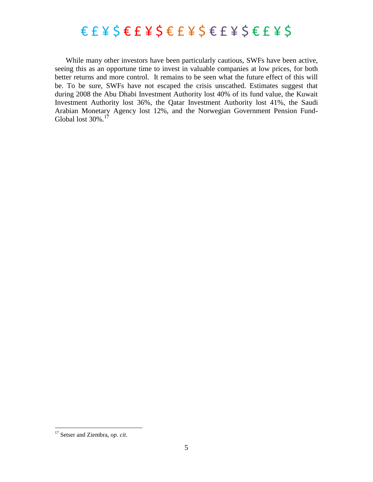### $E E E Y S E F Y S E F Y S E F Y S E F Y S$

While many other investors have been particularly cautious, SWFs have been active, seeing this as an opportune time to invest in valuable companies at low prices, for both better returns and more control. It remains to be seen what the future effect of this will be. To be sure, SWFs have not escaped the crisis unscathed. Estimates suggest that during 2008 the Abu Dhabi Investment Authority lost 40% of its fund value, the Kuwait Investment Authority lost 36%, the Qatar Investment Authority lost 41%, the Saudi Arabian Monetary Agency lost 12%, and the Norwegian Government Pension Fund-Global lost 30%.<sup>17</sup>

<sup>17</sup> Setser and Ziembra, *op. cit.*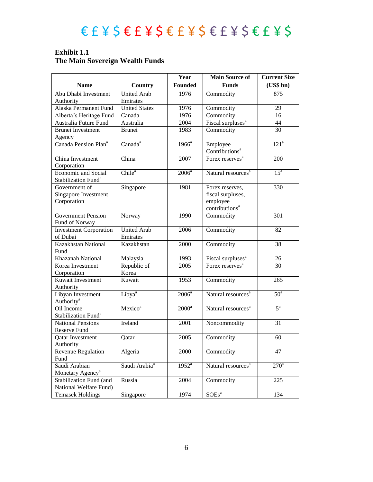#### **Exhibit 1.1 The Main Sovereign Wealth Funds**

|                                  |                           | Year              | <b>Main Source of</b>                  | <b>Current Size</b> |
|----------------------------------|---------------------------|-------------------|----------------------------------------|---------------------|
| <b>Name</b>                      | Country                   | <b>Founded</b>    | <b>Funds</b>                           | (US\$bn)            |
| Abu Dhabi Investment             | <b>United Arab</b>        | 1976              | Commodity                              | 875                 |
| Authority                        | Emirates                  |                   |                                        |                     |
| Alaska Permanent Fund            | <b>United States</b>      | 1976              | Commodity                              | 29                  |
| Alberta's Heritage Fund          | Canada                    | 1976              | Commodity                              | 16                  |
| Australia Future Fund            | Australia                 | 2004              | Fiscal surpluses <sup>a</sup>          | 44                  |
| Brunei Investment                | <b>Brunei</b>             | 1983              | Commodity                              | 30                  |
| Agency                           |                           |                   |                                        |                     |
| Canada Pension Plan <sup>a</sup> | Canada <sup>a</sup>       | $1966^a$          | Employee<br>Contributions <sup>a</sup> | 121 <sup>a</sup>    |
| China Investment                 | China                     | 2007              | Forex reserves <sup>a</sup>            | 200                 |
| Corporation                      |                           |                   |                                        |                     |
| <b>Economic and Social</b>       | Chile <sup>a</sup>        | $2006^a$          | Natural resources <sup>a</sup>         | 15 <sup>a</sup>     |
| Stabilization Fund <sup>a</sup>  |                           |                   |                                        |                     |
| Government of                    | Singapore                 | 1981              | Forex reserves,                        | 330                 |
| Singapore Investment             |                           |                   | fiscal surpluses,                      |                     |
| Corporation                      |                           |                   | employee                               |                     |
|                                  |                           |                   | contributions <sup>a</sup>             |                     |
| <b>Government Pension</b>        | Norway                    | 1990              | Commodity                              | 301                 |
| Fund of Norway                   |                           |                   |                                        |                     |
| <b>Investment Corporation</b>    | <b>United Arab</b>        | 2006              | Commodity                              | 82                  |
| of Dubai                         | Emirates                  |                   |                                        |                     |
| Kazakhstan National              | Kazakhstan                | 2000              | Commodity                              | 38                  |
| Fund                             |                           |                   |                                        |                     |
| Khazanah National                | Malaysia                  | 1993              | Fiscal surpluses <sup>a</sup>          | 26                  |
| Korea Investment                 | Republic of               | 2005              | Forex reserves <sup>a</sup>            | 30                  |
| Corporation                      | Korea                     |                   |                                        |                     |
| Kuwait Investment                | Kuwait                    | 1953              | Commodity                              | 265                 |
| Authority                        |                           |                   |                                        |                     |
| Libyan Investment                | Libya <sup>a</sup>        | $2006^a$          | Natural resources <sup>a</sup>         | 50 <sup>a</sup>     |
| Authority <sup>a</sup>           |                           |                   |                                        |                     |
| Oil Income                       | Mexico <sup>a</sup>       | $2000^a$          | Natural resources <sup>a</sup>         | $5^{\mathrm{a}}$    |
| Stabilization Fund <sup>a</sup>  |                           |                   |                                        |                     |
| National Pensions                | Ireland                   | 2001              | Noncommodity                           | 31                  |
| Reserve Fund                     |                           |                   |                                        |                     |
| <b>Qatar Investment</b>          | Qatar                     | 2005              | Commodity                              | 60                  |
| Authority                        |                           |                   |                                        |                     |
| Revenue Regulation               | Algeria                   | 2000              | Commodity                              | 47                  |
| Fund                             |                           |                   |                                        |                     |
| Saudi Arabian                    | Saudi Arabia <sup>a</sup> | $1952^{\text{a}}$ | Natural resources <sup>a</sup>         | $270^{\circ}$       |
| Monetary Agency <sup>a</sup>     |                           |                   |                                        |                     |
| Stabilization Fund (and          | Russia                    | 2004              | Commodity                              | 225                 |
| National Welfare Fund)           |                           |                   |                                        |                     |
| <b>Temasek Holdings</b>          | Singapore                 | 1974              | $SOEs^a$                               | 134                 |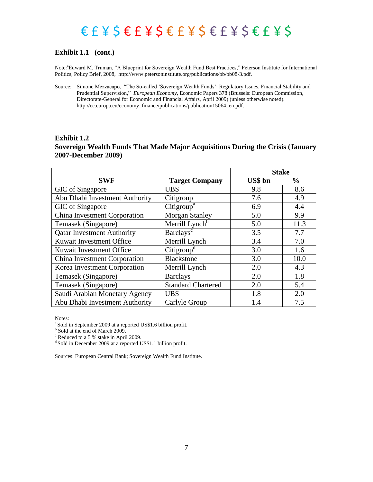### $\epsilon$   $\epsilon$   $\neq$   $\zeta$   $\epsilon$   $\epsilon$   $\leq$   $\epsilon$   $\leq$   $\epsilon$   $\leq$   $\epsilon$   $\leq$   $\epsilon$   $\leq$   $\epsilon$   $\leq$   $\epsilon$   $\leq$   $\epsilon$   $\leq$   $\epsilon$   $\leq$   $\epsilon$   $\leq$   $\epsilon$   $\leq$   $\epsilon$   $\leq$   $\epsilon$   $\leq$   $\epsilon$   $\leq$   $\epsilon$   $\leq$   $\epsilon$   $\leq$   $\epsilon$   $\leq$   $\epsilon$   $\$

#### **Exhibit 1.1 (cont.)**

Note:<sup>a</sup>Edward M. Truman, "A Blueprint for Sovereign Wealth Fund Best Practices," Peterson Institute for International Politics, Policy Brief, 2008, http://www.petersoninstitute.org/publications/pb/pb08-3.pdf.

Source: Simone Mezzacapo, "The So-called 'Sovereign Wealth Funds': Regulatory Issues, Financial Stability and Prudential Supervision," *European Economy*, *Economic Papers 378* (Brussels: European Commission, Directorate-General for Economic and Financial Affairs, April 2009) (unless otherwise noted). http://ec.europa.eu/economy\_finance/publications/publication15064\_en.pdf.

#### **Exhibit 1.2 Sovereign Wealth Funds That Made Major Acquisitions During the Crisis (January 2007-December 2009)**

|                                   |                            | <b>Stake</b> |               |
|-----------------------------------|----------------------------|--------------|---------------|
| <b>SWF</b>                        | <b>Target Company</b>      | US\$ bn      | $\frac{6}{9}$ |
| GIC of Singapore                  | <b>UBS</b>                 | 9.8          | 8.6           |
| Abu Dhabi Investment Authority    | Citigroup                  | 7.6          | 4.9           |
| GIC of Singapore                  | Citigroup <sup>a</sup>     | 6.9          | 4.4           |
| China Investment Corporation      | <b>Morgan Stanley</b>      | 5.0          | 9.9           |
| Temasek (Singapore)               | Merrill Lynch <sup>b</sup> | 5.0          | 11.3          |
| <b>Qatar Investment Authority</b> | Barclays <sup>c</sup>      | 3.5          | 7.7           |
| Kuwait Investment Office          | Merrill Lynch              | 3.4          | 7.0           |
| Kuwait Investment Office          | Citigroup <sup>d</sup>     | 3.0          | 1.6           |
| China Investment Corporation      | <b>Blackstone</b>          | 3.0          | 10.0          |
| Korea Investment Corporation      | Merrill Lynch              | 2.0          | 4.3           |
| Temasek (Singapore)               | <b>Barclays</b>            | 2.0          | 1.8           |
| Temasek (Singapore)               | <b>Standard Chartered</b>  | 2.0          | 5.4           |
| Saudi Arabian Monetary Agency     | <b>UBS</b>                 | 1.8          | 2.0           |
| Abu Dhabi Investment Authority    | Carlyle Group              | 1.4          | 7.5           |

Notes:

<sup>a</sup> Sold in September 2009 at a reported US\$1.6 billion profit.

<sup>b</sup> Sold at the end of March 2009.

<sup>c</sup> Reduced to a 5 % stake in April 2009.

 $d$  Sold in December 2009 at a reported US\$1.1 billion profit.

Sources: European Central Bank; Sovereign Wealth Fund Institute.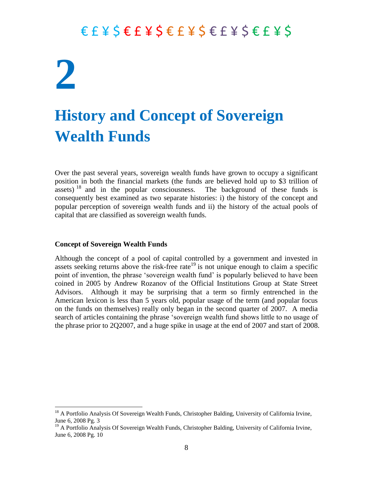## **2 History and Concept of Sovereign Wealth Funds**

Over the past several years, sovereign wealth funds have grown to occupy a significant position in both the financial markets (the funds are believed hold up to \$3 trillion of assets)  $^{18}$  and in the popular consciousness. The background of these funds is consequently best examined as two separate histories: i) the history of the concept and popular perception of sovereign wealth funds and ii) the history of the actual pools of capital that are classified as sovereign wealth funds.

#### **Concept of Sovereign Wealth Funds**

 $\overline{\phantom{a}}$ 

Although the concept of a pool of capital controlled by a government and invested in assets seeking returns above the risk-free rate<sup>19</sup> is not unique enough to claim a specific point of invention, the phrase 'sovereign wealth fund' is popularly believed to have been coined in 2005 by Andrew Rozanov of the Official Institutions Group at State Street Advisors. Although it may be surprising that a term so firmly entrenched in the American lexicon is less than 5 years old, popular usage of the term (and popular focus on the funds on themselves) really only began in the second quarter of 2007. A media search of articles containing the phrase 'sovereign wealth fund shows little to no usage of the phrase prior to 2Q2007, and a huge spike in usage at the end of 2007 and start of 2008.

<sup>&</sup>lt;sup>18</sup> A Portfolio Analysis Of Sovereign Wealth Funds, Christopher Balding, University of California Irvine, June 6, 2008 Pg. 3

<sup>&</sup>lt;sup>19</sup> A Portfolio Analysis Of Sovereign Wealth Funds, Christopher Balding, University of California Irvine, June 6, 2008 Pg. 10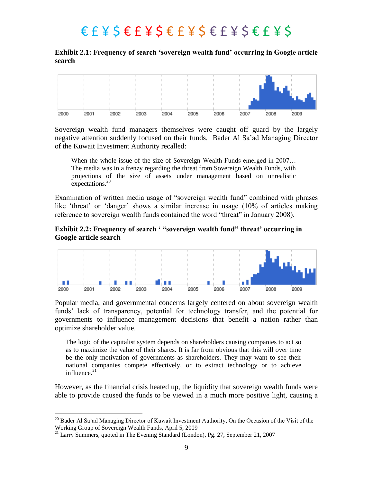**Exhibit 2.1: Frequency of search 'sovereign wealth fund' occurring in Google article search**



Sovereign wealth fund managers themselves were caught off guard by the largely negative attention suddenly focused on their funds. Bader Al Sa'ad Managing Director of the Kuwait Investment Authority recalled:

When the whole issue of the size of Sovereign Wealth Funds emerged in 2007... The media was in a frenzy regarding the threat from Sovereign Wealth Funds, with projections of the size of assets under management based on unrealistic expectations.<sup>20</sup>

Examination of written media usage of "sovereign wealth fund" combined with phrases like 'threat' or 'danger' shows a similar increase in usage (10% of articles making reference to sovereign wealth funds contained the word "threat" in January 2008).

#### **Exhibit 2.2: Frequency of search ' "sovereign wealth fund" threat' occurring in Google article search**



Popular media, and governmental concerns largely centered on about sovereign wealth funds' lack of transparency, potential for technology transfer, and the potential for governments to influence management decisions that benefit a nation rather than optimize shareholder value.

The logic of the capitalist system depends on shareholders causing companies to act so as to maximize the value of their shares. It is far from obvious that this will over time be the only motivation of governments as shareholders. They may want to see their national companies compete effectively, or to extract technology or to achieve influence. $21$ 

However, as the financial crisis heated up, the liquidity that sovereign wealth funds were able to provide caused the funds to be viewed in a much more positive light, causing a

<sup>&</sup>lt;sup>20</sup> Bader Al Sa'ad Managing Director of Kuwait Investment Authority, On the Occasion of the Visit of the Working Group of Sovereign Wealth Funds, April 5, 2009

 $21$  Larry Summers, quoted in The Evening Standard (London), Pg. 27, September 21, 2007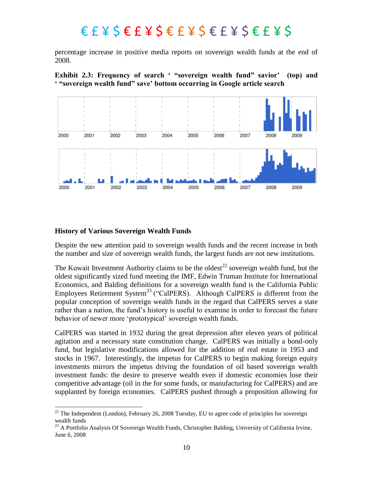percentage increase in positive media reports on sovereign wealth funds at the end of 2008.





#### **History of Various Sovereign Wealth Funds**

 $\overline{\phantom{a}}$ 

Despite the new attention paid to sovereign wealth funds and the recent increase in both the number and size of sovereign wealth funds, the largest funds are not new institutions.

The Kuwait Investment Authority claims to be the oldest<sup>22</sup> sovereign wealth fund, but the oldest significantly sized fund meeting the IMF, Edwin Truman Institute for International Economics, and Balding definitions for a sovereign wealth fund is the California Public Employees Retirement System<sup>23</sup> ("CalPERS). Although CalPERS is different from the popular conception of sovereign wealth funds in the regard that CalPERS serves a state rather than a nation, the fund's history is useful to examine in order to forecast the future behavior of newer more 'prototypical' sovereign wealth funds.

CalPERS was started in 1932 during the great depression after eleven years of political agitation and a necessary state constitution change. CalPERS was initially a bond-only fund, but legislative modifications allowed for the addition of real estate in 1953 and stocks in 1967. Interestingly, the impetus for CalPERS to begin making foreign equity investments mirrors the impetus driving the foundation of oil based sovereign wealth investment funds: the desire to preserve wealth even if domestic economies lose their competitive advantage (oil in the for some funds, or manufacturing for CalPERS) and are supplanted by foreign economies. CalPERS pushed through a proposition allowing for

 $^{22}$  The Independent (London), February 26, 2008 Tuesday, EU to agree code of principles for sovereign wealth funds

 $^{23}$  A Portfolio Analysis Of Sovereign Wealth Funds, Christopher Balding, University of California Irvine, June 6, 2008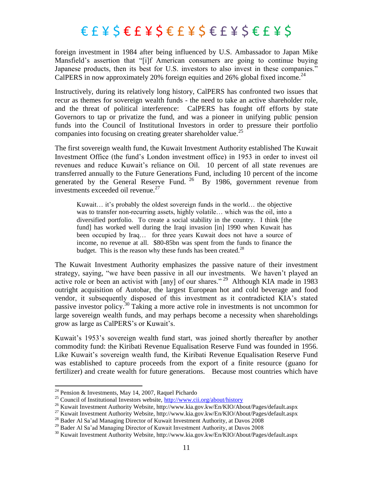foreign investment in 1984 after being influenced by U.S. Ambassador to Japan Mike Mansfield's assertion that "[i]f American consumers are going to continue buying Japanese products, then its best for U.S. investors to also invest in these companies." CalPERS in now approximately 20% foreign equities and 26% global fixed income.<sup>24</sup>

Instructively, during its relatively long history, CalPERS has confronted two issues that recur as themes for sovereign wealth funds - the need to take an active shareholder role, and the threat of political interference: CalPERS has fought off efforts by state Governors to tap or privatize the fund, and was a pioneer in unifying public pension funds into the Council of Institutional Investors in order to pressure their portfolio companies into focusing on creating greater shareholder value.<sup>25</sup>

The first sovereign wealth fund, the Kuwait Investment Authority established The Kuwait Investment Office (the fund's London investment office) in 1953 in order to invest oil revenues and reduce Kuwait's reliance on Oil. 10 percent of all state revenues are transferred annually to the Future Generations Fund, including 10 percent of the income generated by the General Reserve Fund.  $^{26}$  By 1986, government revenue from investments exceeded oil revenue.<sup>27</sup>

Kuwait… it's probably the oldest sovereign funds in the world… the objective was to transfer non-recurring assets, highly volatile... which was the oil, into a diversified portfolio. To create a social stability in the country. I think [the fund] has worked well during the Iraqi invasion [in] 1990 when Kuwait has been occupied by Iraq… for three years Kuwait does not have a source of income, no revenue at all. \$80-85bn was spent from the funds to finance the budget. This is the reason why these funds has been created.<sup>28</sup>

The Kuwait Investment Authority emphasizes the passive nature of their investment strategy, saying, "we have been passive in all our investments. We haven't played an active role or been an activist with [any] of our shares."<sup>29</sup> Although KIA made in 1983 outright acquisition of Autobar, the largest European hot and cold beverage and food vendor, it subsequently disposed of this investment as it contradicted KIA's stated passive investor policy.<sup>30</sup> Taking a more active role in investments is not uncommon for large sovereign wealth funds, and may perhaps become a necessity when shareholdings grow as large as CalPERS's or Kuwait's.

Kuwait's 1953's sovereign wealth fund start, was joined shortly thereafter by another commodity fund: the Kiribati Revenue Equalisation Reserve Fund was founded in 1956. Like Kuwait's sovereign wealth fund, the Kiribati Revenue Equalisation Reserve Fund was established to capture proceeds from the export of a finite resource (guano for fertilizer) and create wealth for future generations. Because most countries which have

<sup>&</sup>lt;sup>24</sup> Pension & Investments, May 14, 2007, Raquel Pichardo

<sup>&</sup>lt;sup>25</sup> Council of Institutional Investors website,  $\frac{http://www.cii.org/about/history)}{}$ 

<sup>&</sup>lt;sup>26</sup> Kuwait Investment Authority Website, http://www.kia.gov.kw/En/KIO/About/Pages/default.aspx

<sup>27</sup> Kuwait Investment Authority Website, http://www.kia.gov.kw/En/KIO/About/Pages/default.aspx

<sup>&</sup>lt;sup>28</sup> Bader Al Sa'ad Managing Director of Kuwait Investment Authority, at Davos 2008

<sup>&</sup>lt;sup>29</sup> Bader Al Sa'ad Managing Director of Kuwait Investment Authority, at Davos 2008

<sup>&</sup>lt;sup>30</sup> Kuwait Investment Authority Website, http://www.kia.gov.kw/En/KIO/About/Pages/default.aspx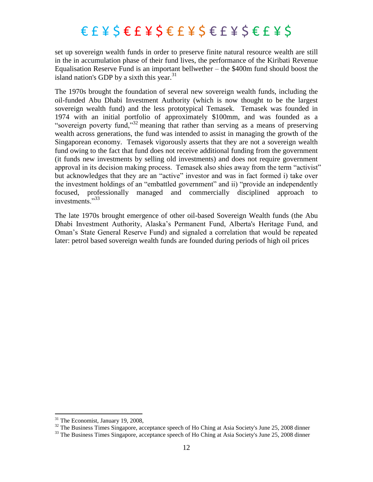set up sovereign wealth funds in order to preserve finite natural resource wealth are still in the in accumulation phase of their fund lives, the performance of the Kiribati Revenue Equalisation Reserve Fund is an important bellwether – the \$400m fund should boost the island nation's GDP by a sixth this year. $31$ 

The 1970s brought the foundation of several new sovereign wealth funds, including the oil-funded Abu Dhabi Investment Authority (which is now thought to be the largest sovereign wealth fund) and the less prototypical Temasek. Temasek was founded in 1974 with an initial portfolio of approximately \$100mm, and was founded as a "sovereign poverty fund,"<sup>32</sup> meaning that rather than serving as a means of preserving wealth across generations, the fund was intended to assist in managing the growth of the Singaporean economy. Temasek vigorously asserts that they are not a sovereign wealth fund owing to the fact that fund does not receive additional funding from the government (it funds new investments by selling old investments) and does not require government approval in its decision making process. Temasek also shies away from the term "activist" but acknowledges that they are an "active" investor and was in fact formed i) take over the investment holdings of an "embattled government" and ii) "provide an independently focused, professionally managed and commercially disciplined approach to investments."33

The late 1970s brought emergence of other oil-based Sovereign Wealth funds (the Abu Dhabi Investment Authority, Alaska's Permanent Fund, Alberta's Heritage Fund, and Oman's State General Reserve Fund) and signaled a correlation that would be repeated later: petrol based sovereign wealth funds are founded during periods of high oil prices

 $31$  The Economist, January 19, 2008,

<sup>&</sup>lt;sup>32</sup> The Business Times Singapore, acceptance speech of Ho Ching at Asia Society's June 25, 2008 dinner

<sup>&</sup>lt;sup>33</sup> The Business Times Singapore, acceptance speech of Ho Ching at Asia Society's June 25, 2008 dinner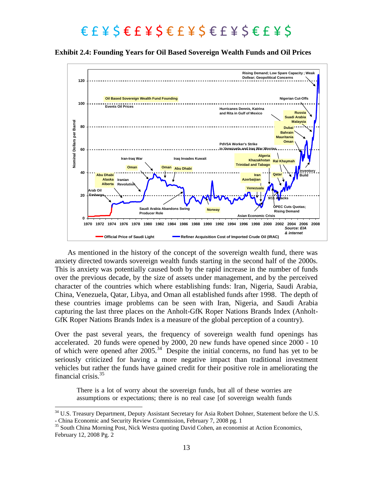**Exhibit 2.4: Founding Years for Oil Based Sovereign Wealth Funds and Oil Prices**



As mentioned in the history of the concept of the sovereign wealth fund, there was anxiety directed towards sovereign wealth funds starting in the second half of the 2000s. This is anxiety was potentially caused both by the rapid increase in the number of funds over the previous decade, by the size of assets under management, and by the perceived character of the countries which where establishing funds: Iran, Nigeria, Saudi Arabia, China, Venezuela, Qatar, Libya, and Oman all established funds after 1998. The depth of these countries image problems can be seen with Iran, Nigeria, and Saudi Arabia capturing the last three places on the Anholt-GfK Roper Nations Brands Index (Anholt-GfK Roper Nations Brands Index is a measure of the global perception of a country).

Over the past several years, the frequency of sovereign wealth fund openings has accelerated. 20 funds were opened by 2000, 20 new funds have opened since 2000 - 10 of which were opened after  $2005$ .<sup>34</sup> Despite the initial concerns, no fund has yet to be seriously criticized for having a more negative impact than traditional investment vehicles but rather the funds have gained credit for their positive role in ameliorating the financial crisis. 35

There is a lot of worry about the sovereign funds, but all of these worries are assumptions or expectations; there is no real case [of sovereign wealth funds

<sup>&</sup>lt;sup>34</sup> U.S. Treasury Department, Deputy Assistant Secretary for Asia Robert Dohner, Statement before the U.S. - China Economic and Security Review Commission, February 7, 2008 pg. 1

<sup>&</sup>lt;sup>35</sup> South China Morning Post, Nick Westra quoting David Cohen, an economist at Action Economics, February 12, 2008 Pg. 2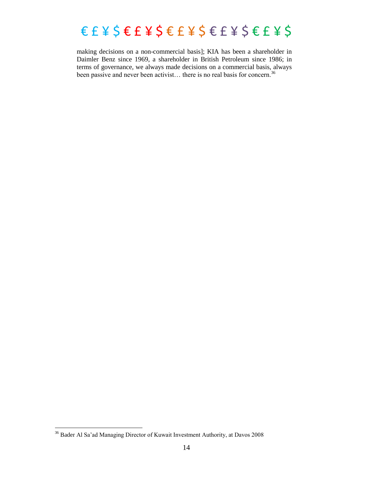### $\epsilon$   $\epsilon$   $\leq$   $\epsilon$   $\leq$   $\epsilon$   $\leq$   $\epsilon$   $\leq$   $\epsilon$   $\leq$   $\epsilon$   $\leq$   $\epsilon$   $\leq$   $\epsilon$   $\leq$   $\epsilon$   $\leq$   $\epsilon$   $\leq$   $\epsilon$   $\leq$   $\epsilon$   $\leq$   $\epsilon$   $\leq$   $\epsilon$   $\leq$   $\epsilon$   $\leq$   $\epsilon$   $\leq$   $\epsilon$   $\leq$   $\epsilon$   $\leq$   $\epsilon$   $\leq$   $\epsilon$   $\$

making decisions on a non-commercial basis]; KIA has been a shareholder in Daimler Benz since 1969, a shareholder in British Petroleum since 1986; in terms of governance, we always made decisions on a commercial basis, always been passive and never been activist... there is no real basis for concern.<sup>36</sup>

 $36$  Bader Al Sa'ad Managing Director of Kuwait Investment Authority, at Davos 2008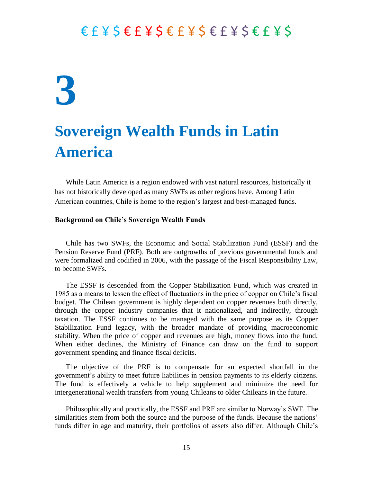## **3**

### **Sovereign Wealth Funds in Latin America**

While Latin America is a region endowed with vast natural resources, historically it has not historically developed as many SWFs as other regions have. Among Latin American countries, Chile is home to the region's largest and best-managed funds.

#### **Background on Chile"s Sovereign Wealth Funds**

Chile has two SWFs, the Economic and Social Stabilization Fund (ESSF) and the Pension Reserve Fund (PRF). Both are outgrowths of previous governmental funds and were formalized and codified in 2006, with the passage of the Fiscal Responsibility Law, to become SWFs.

The ESSF is descended from the Copper Stabilization Fund, which was created in 1985 as a means to lessen the effect of fluctuations in the price of copper on Chile's fiscal budget. The Chilean government is highly dependent on copper revenues both directly, through the copper industry companies that it nationalized, and indirectly, through taxation. The ESSF continues to be managed with the same purpose as its Copper Stabilization Fund legacy, with the broader mandate of providing macroeconomic stability. When the price of copper and revenues are high, money flows into the fund. When either declines, the Ministry of Finance can draw on the fund to support government spending and finance fiscal deficits.

The objective of the PRF is to compensate for an expected shortfall in the government's ability to meet future liabilities in pension payments to its elderly citizens. The fund is effectively a vehicle to help supplement and minimize the need for intergenerational wealth transfers from young Chileans to older Chileans in the future.

Philosophically and practically, the ESSF and PRF are similar to Norway's SWF. The similarities stem from both the source and the purpose of the funds. Because the nations' funds differ in age and maturity, their portfolios of assets also differ. Although Chile's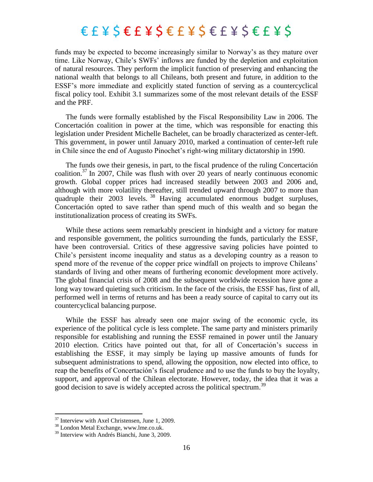funds may be expected to become increasingly similar to Norway's as they mature over time. Like Norway, Chile's SWFs' inflows are funded by the depletion and exploitation of natural resources. They perform the implicit function of preserving and enhancing the national wealth that belongs to all Chileans, both present and future, in addition to the ESSF's more immediate and explicitly stated function of serving as a countercyclical fiscal policy tool. Exhibit 3.1 summarizes some of the most relevant details of the ESSF and the PRF.

The funds were formally established by the Fiscal Responsibility Law in 2006. The Concertación coalition in power at the time, which was responsible for enacting this legislation under President Michelle Bachelet, can be broadly characterized as center-left. This government, in power until January 2010, marked a continuation of center-left rule in Chile since the end of Augusto Pinochet's right-wing military dictatorship in 1990.

The funds owe their genesis, in part, to the fiscal prudence of the ruling Concertación coalition. <sup>37</sup> In 2007, Chile was flush with over 20 years of nearly continuous economic growth. Global copper prices had increased steadily between 2003 and 2006 and, although with more volatility thereafter, still trended upward through 2007 to more than quadruple their 2003 levels.<sup>38</sup> Having accumulated enormous budget surpluses, Concertación opted to save rather than spend much of this wealth and so began the institutionalization process of creating its SWFs.

While these actions seem remarkably prescient in hindsight and a victory for mature and responsible government, the politics surrounding the funds, particularly the ESSF, have been controversial. Critics of these aggressive saving policies have pointed to Chile's persistent income inequality and status as a developing country as a reason to spend more of the revenue of the copper price windfall on projects to improve Chileans' standards of living and other means of furthering economic development more actively. The global financial crisis of 2008 and the subsequent worldwide recession have gone a long way toward quieting such criticism. In the face of the crisis, the ESSF has, first of all, performed well in terms of returns and has been a ready source of capital to carry out its countercyclical balancing purpose.

While the ESSF has already seen one major swing of the economic cycle, its experience of the political cycle is less complete. The same party and ministers primarily responsible for establishing and running the ESSF remained in power until the January 2010 election. Critics have pointed out that, for all of Concertación's success in establishing the ESSF, it may simply be laying up massive amounts of funds for subsequent administrations to spend, allowing the opposition, now elected into office, to reap the benefits of Concertación's fiscal prudence and to use the funds to buy the loyalty, support, and approval of the Chilean electorate. However, today, the idea that it was a good decision to save is widely accepted across the political spectrum.<sup>39</sup>

 $37$  Interview with Axel Christensen, June 1, 2009.

<sup>38</sup> London Metal Exchange, www.lme.co.uk.

<sup>&</sup>lt;sup>39</sup> Interview with Andrés Bianchi, June 3, 2009.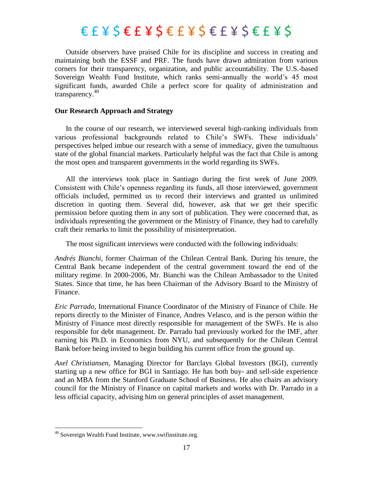Outside observers have praised Chile for its discipline and success in creating and maintaining both the ESSF and PRF. The funds have drawn admiration from various corners for their transparency, organization, and public accountability. The U.S.-based Sovereign Wealth Fund Institute, which ranks semi-annually the world's 45 most significant funds, awarded Chile a perfect score for quality of administration and transparency. $40$ 

#### **Our Research Approach and Strategy**

In the course of our research, we interviewed several high-ranking individuals from various professional backgrounds related to Chile's SWFs. These individuals' perspectives helped imbue our research with a sense of immediacy, given the tumultuous state of the global financial markets. Particularly helpful was the fact that Chile is among the most open and transparent governments in the world regarding its SWFs.

All the interviews took place in Santiago during the first week of June 2009. Consistent with Chile's openness regarding its funds, all those interviewed, government officials included, permitted us to record their interviews and granted us unlimited discretion in quoting them. Several did, however, ask that we get their specific permission before quoting them in any sort of publication. They were concerned that, as individuals representing the government or the Ministry of Finance, they had to carefully craft their remarks to limit the possibility of misinterpretation.

The most significant interviews were conducted with the following individuals:

*Andrés Bianchi,* former Chairman of the Chilean Central Bank. During his tenure, the Central Bank became independent of the central government toward the end of the military regime. In 2000-2006, Mr. Bianchi was the Chilean Ambassador to the United States. Since that time, he has been Chairman of the Advisory Board to the Ministry of Finance.

*Eric Parrado,* International Finance Coordinator of the Ministry of Finance of Chile. He reports directly to the Minister of Finance, Andres Velasco, and is the person within the Ministry of Finance most directly responsible for management of the SWFs. He is also responsible for debt management. Dr. Parrado had previously worked for the IMF, after earning his Ph.D. in Economics from NYU, and subsequently for the Chilean Central Bank before being invited to begin building his current office from the ground up.

*Axel Christiansen,* Managing Director for Barclays Global Investors (BGI), currently starting up a new office for BGI in Santiago. He has both buy- and sell-side experience and an MBA from the Stanford Graduate School of Business. He also chairs an advisory council for the Ministry of Finance on capital markets and works with Dr. Parrado in a less official capacity, advising him on general principles of asset management.

<sup>&</sup>lt;sup>40</sup> Sovereign Wealth Fund Institute, www.swifinstitute.org.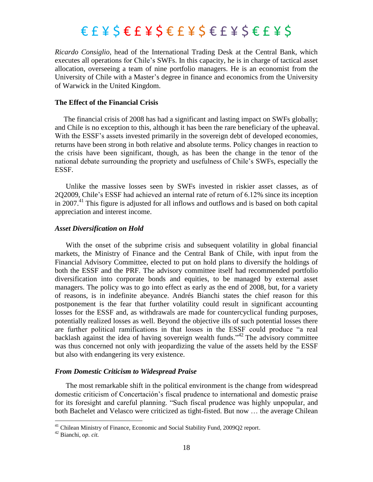*Ricardo Consiglio,* head of the International Trading Desk at the Central Bank, which executes all operations for Chile's SWFs. In this capacity, he is in charge of tactical asset allocation, overseeing a team of nine portfolio managers. He is an economist from the University of Chile with a Master's degree in finance and economics from the University of Warwick in the United Kingdom.

#### **The Effect of the Financial Crisis**

The financial crisis of 2008 has had a significant and lasting impact on SWFs globally; and Chile is no exception to this, although it has been the rare beneficiary of the upheaval. With the ESSF's assets invested primarily in the sovereign debt of developed economies, returns have been strong in both relative and absolute terms. Policy changes in reaction to the crisis have been significant, though, as has been the change in the tenor of the national debate surrounding the propriety and usefulness of Chile's SWFs, especially the ESSF.

Unlike the massive losses seen by SWFs invested in riskier asset classes, as of 2Q2009, Chile's ESSF had achieved an internal rate of return of 6.12% since its inception in 2007. <sup>41</sup> This figure is adjusted for all inflows and outflows and is based on both capital appreciation and interest income.

#### *Asset Diversification on Hold*

With the onset of the subprime crisis and subsequent volatility in global financial markets, the Ministry of Finance and the Central Bank of Chile, with input from the Financial Advisory Committee, elected to put on hold plans to diversify the holdings of both the ESSF and the PRF. The advisory committee itself had recommended portfolio diversification into corporate bonds and equities, to be managed by external asset managers. The policy was to go into effect as early as the end of 2008, but, for a variety of reasons, is in indefinite abeyance. Andrés Bianchi states the chief reason for this postponement is the fear that further volatility could result in significant accounting losses for the ESSF and, as withdrawals are made for countercyclical funding purposes, potentially realized losses as well. Beyond the objective ills of such potential losses there are further political ramifications in that losses in the ESSF could produce "a real backlash against the idea of having sovereign wealth funds."<sup>42</sup> The advisory committee was thus concerned not only with jeopardizing the value of the assets held by the ESSF but also with endangering its very existence.

#### *From Domestic Criticism to Widespread Praise*

The most remarkable shift in the political environment is the change from widespread domestic criticism of Concertación's fiscal prudence to international and domestic praise for its foresight and careful planning. "Such fiscal prudence was highly unpopular, and both Bachelet and Velasco were criticized as tight-fisted. But now … the average Chilean

<sup>&</sup>lt;sup>41</sup> Chilean Ministry of Finance, Economic and Social Stability Fund, 2009Q2 report.

<sup>42</sup> Bianchi, *op. cit.*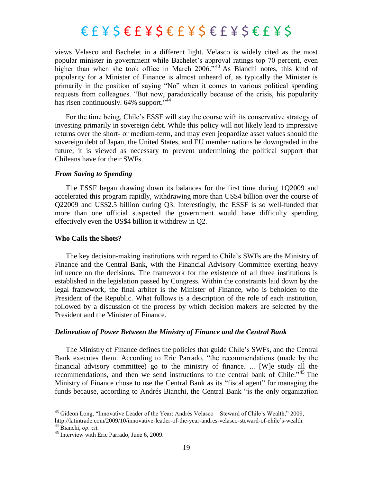views Velasco and Bachelet in a different light. Velasco is widely cited as the most popular minister in government while Bachelet's approval ratings top 70 percent, even higher than when she took office in March  $2006.^{43}$  As Bianchi notes, this kind of popularity for a Minister of Finance is almost unheard of, as typically the Minister is primarily in the position of saying "No" when it comes to various political spending requests from colleagues. "But now, paradoxically because of the crisis, his popularity has risen continuously.  $64\%$  support."<sup>44</sup>

For the time being, Chile's ESSF will stay the course with its conservative strategy of investing primarily in sovereign debt. While this policy will not likely lead to impressive returns over the short- or medium-term, and may even jeopardize asset values should the sovereign debt of Japan, the United States, and EU member nations be downgraded in the future, it is viewed as necessary to prevent undermining the political support that Chileans have for their SWFs.

#### *From Saving to Spending*

The ESSF began drawing down its balances for the first time during 1Q2009 and accelerated this program rapidly, withdrawing more than US\$4 billion over the course of Q22009 and US\$2.5 billion during Q3. Interestingly, the ESSF is so well-funded that more than one official suspected the government would have difficulty spending effectively even the US\$4 billion it withdrew in Q2.

#### **Who Calls the Shots?**

The key decision-making institutions with regard to Chile's SWFs are the Ministry of Finance and the Central Bank, with the Financial Advisory Committee exerting heavy influence on the decisions. The framework for the existence of all three institutions is established in the legislation passed by Congress. Within the constraints laid down by the legal framework, the final arbiter is the Minister of Finance, who is beholden to the President of the Republic. What follows is a description of the role of each institution, followed by a discussion of the process by which decision makers are selected by the President and the Minister of Finance.

#### *Delineation of Power Between the Ministry of Finance and the Central Bank*

The Ministry of Finance defines the policies that guide Chile's SWFs, and the Central Bank executes them. According to Eric Parrado, "the recommendations (made by the financial advisory committee) go to the ministry of finance. ... [W]e study all the recommendations, and then we send instructions to the central bank of Chile."<sup>45</sup> The Ministry of Finance chose to use the Central Bank as its "fiscal agent" for managing the funds because, according to Andrés Bianchi, the Central Bank "is the only organization

 $43$  Gideon Long, "Innovative Leader of the Year: Andrés Velasco – Steward of Chile's Wealth," 2009, http://latintrade.com/2009/10/innovative-leader-of-the-year-andres-velasco-steward-of-chile's-wealth.

<sup>44</sup> Bianchi, *op. cit.*

<sup>&</sup>lt;sup>45</sup> Interview with Eric Parrado, June 6, 2009.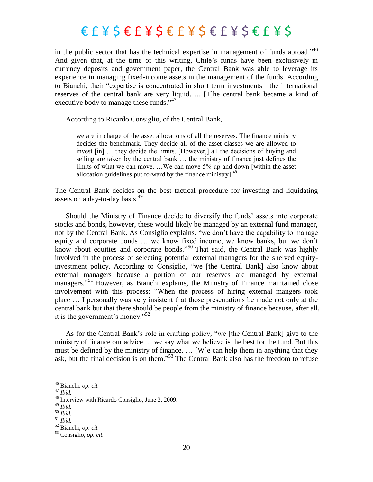in the public sector that has the technical expertise in management of funds abroad.<sup> $46$ </sup> And given that, at the time of this writing, Chile's funds have been exclusively in currency deposits and government paper, the Central Bank was able to leverage its experience in managing fixed-income assets in the management of the funds. According to Bianchi, their "expertise is concentrated in short term investments—the international reserves of the central bank are very liquid. ... [T]he central bank became a kind of executive body to manage these funds. $147$ 

According to Ricardo Consiglio, of the Central Bank,

we are in charge of the asset allocations of all the reserves. The finance ministry decides the benchmark. They decide all of the asset classes we are allowed to invest [in] … they decide the limits. [However,] all the decisions of buying and selling are taken by the central bank … the ministry of finance just defines the limits of what we can move. …We can move 5% up and down [within the asset allocation guidelines put forward by the finance ministry]. $48$ 

The Central Bank decides on the best tactical procedure for investing and liquidating assets on a day-to-day basis.<sup>49</sup>

Should the Ministry of Finance decide to diversify the funds' assets into corporate stocks and bonds, however, these would likely be managed by an external fund manager, not by the Central Bank. As Consiglio explains, "we don't have the capability to manage equity and corporate bonds … we know fixed income, we know banks, but we don't know about equities and corporate bonds.<sup>50</sup> That said, the Central Bank was highly involved in the process of selecting potential external managers for the shelved equityinvestment policy. According to Consiglio, "we [the Central Bank] also know about external managers because a portion of our reserves are managed by external managers."<sup>51</sup> However, as Bianchi explains, the Ministry of Finance maintained close involvement with this process: "When the process of hiring external mangers took place … I personally was very insistent that those presentations be made not only at the central bank but that there should be people from the ministry of finance because, after all, it is the government's money."<sup>52</sup>

As for the Central Bank's role in crafting policy, "we [the Central Bank] give to the ministry of finance our advice … we say what we believe is the best for the fund. But this must be defined by the ministry of finance. … [W]e can help them in anything that they ask, but the final decision is on them.<sup>553</sup> The Central Bank also has the freedom to refuse

 $\overline{a}$ 

<sup>49</sup> *Ibid.*

<sup>46</sup> Bianchi, *op. cit.*

<sup>47</sup> *Ibid.*

<sup>48</sup> Interview with Ricardo Consiglio, June 3, 2009.

<sup>50</sup> *Ibid.*

<sup>51</sup> *Ibid.*

<sup>52</sup> Bianchi, *op. cit.*

<sup>53</sup> Consiglio, *op. cit.*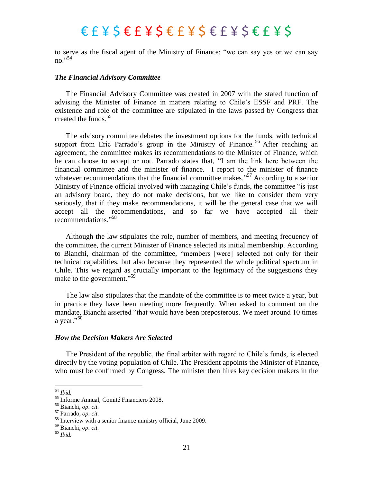to serve as the fiscal agent of the Ministry of Finance: "we can say yes or we can say no $^{,54}$ 

#### *The Financial Advisory Committee*

The Financial Advisory Committee was created in 2007 with the stated function of advising the Minister of Finance in matters relating to Chile's ESSF and PRF. The existence and role of the committee are stipulated in the laws passed by Congress that created the funds. 55

The advisory committee debates the investment options for the funds, with technical support from Eric Parrado's group in the Ministry of Finance.<sup>56</sup> After reaching an agreement, the committee makes its recommendations to the Minister of Finance, which he can choose to accept or not. Parrado states that, "I am the link here between the financial committee and the minister of finance. I report to the minister of finance whatever recommendations that the financial committee makes.<sup>57</sup> According to a senior Ministry of Finance official involved with managing Chile's funds, the committee "is just an advisory board, they do not make decisions, but we like to consider them very seriously, that if they make recommendations, it will be the general case that we will accept all the recommendations, and so far we have accepted all their recommendations."<sup>58</sup>

Although the law stipulates the role, number of members, and meeting frequency of the committee, the current Minister of Finance selected its initial membership. According to Bianchi, chairman of the committee, "members [were] selected not only for their technical capabilities, but also because they represented the whole political spectrum in Chile. This we regard as crucially important to the legitimacy of the suggestions they make to the government."<sup>59</sup>

The law also stipulates that the mandate of the committee is to meet twice a year, but in practice they have been meeting more frequently. When asked to comment on the mandate, Bianchi asserted "that would have been preposterous. We meet around 10 times a year."<sup>60</sup>

#### *How the Decision Makers Are Selected*

The President of the republic, the final arbiter with regard to Chile's funds, is elected directly by the voting population of Chile. The President appoints the Minister of Finance, who must be confirmed by Congress. The minister then hires key decision makers in the

<sup>54</sup> *Ibid.*

<sup>55</sup> Informe Annual, Comité Financiero 2008.

<sup>56</sup> Bianchi, *op. cit.*

<sup>57</sup> Parrado, *op. cit.*

<sup>58</sup> Interview with a senior finance ministry official, June 2009.

<sup>59</sup> Bianchi, *op. cit.*

<sup>60</sup> *Ibid.*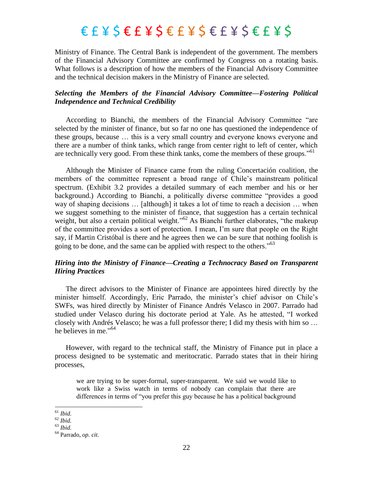Ministry of Finance. The Central Bank is independent of the government. The members of the Financial Advisory Committee are confirmed by Congress on a rotating basis. What follows is a description of how the members of the Financial Advisory Committee and the technical decision makers in the Ministry of Finance are selected.

#### *Selecting the Members of the Financial Advisory Committee—Fostering Political Independence and Technical Credibility*

According to Bianchi, the members of the Financial Advisory Committee "are selected by the minister of finance, but so far no one has questioned the independence of these groups, because … this is a very small country and everyone knows everyone and there are a number of think tanks, which range from center right to left of center, which are technically very good. From these think tanks, come the members of these groups.<sup>561</sup>

Although the Minister of Finance came from the ruling Concertación coalition, the members of the committee represent a broad range of Chile's mainstream political spectrum. (Exhibit 3.2 provides a detailed summary of each member and his or her background.) According to Bianchi, a politically diverse committee "provides a good way of shaping decisions … [although] it takes a lot of time to reach a decision … when we suggest something to the minister of finance, that suggestion has a certain technical weight, but also a certain political weight.<sup>562</sup> As Bianchi further elaborates, "the makeup of the committee provides a sort of protection. I mean, I'm sure that people on the Right say, if Martin Cristóbal is there and he agrees then we can be sure that nothing foolish is going to be done, and the same can be applied with respect to the others.<sup> $63$ </sup>

#### *Hiring into the Ministry of Finance—Creating a Technocracy Based on Transparent Hiring Practices*

The direct advisors to the Minister of Finance are appointees hired directly by the minister himself. Accordingly, Eric Parrado, the minister's chief advisor on Chile's SWFs, was hired directly by Minister of Finance Andrés Velasco in 2007. Parrado had studied under Velasco during his doctorate period at Yale. As he attested, "I worked closely with Andrés Velasco; he was a full professor there; I did my thesis with him so … he believes in me."<sup>64</sup>

However, with regard to the technical staff, the Ministry of Finance put in place a process designed to be systematic and meritocratic. Parrado states that in their hiring processes,

we are trying to be super-formal, super-transparent. We said we would like to work like a Swiss watch in terms of nobody can complain that there are differences in terms of "you prefer this guy because he has a political background

<sup>61</sup> *Ibid.*

 $62$  *Ibid.* 

<sup>63</sup> *Ibid.*

<sup>64</sup> Parrado, *op. cit.*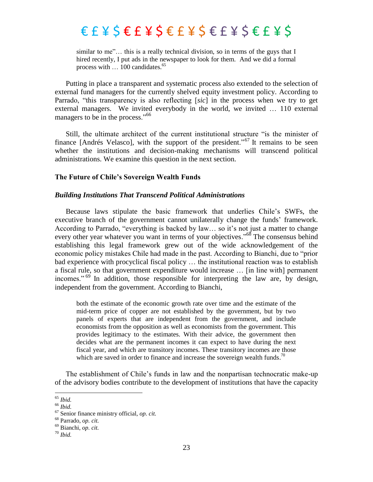similar to me"... this is a really technical division, so in terms of the guys that I hired recently, I put ads in the newspaper to look for them. And we did a formal process with ... 100 candidates.<sup>65</sup>

Putting in place a transparent and systematic process also extended to the selection of external fund managers for the currently shelved equity investment policy. According to Parrado, "this transparency is also reflecting [sic] in the process when we try to get external managers. We invited everybody in the world, we invited … 110 external managers to be in the process."<sup>66</sup>

Still, the ultimate architect of the current institutional structure "is the minister of finance [Andrés Velasco], with the support of the president.<sup>567</sup> It remains to be seen whether the institutions and decision-making mechanisms will transcend political administrations. We examine this question in the next section.

#### **The Future of Chile"s Sovereign Wealth Funds**

#### *Building Institutions That Transcend Political Administrations*

Because laws stipulate the basic framework that underlies Chile's SWFs, the executive branch of the government cannot unilaterally change the funds' framework. According to Parrado, "everything is backed by law... so it's not just a matter to change every other year whatever you want in terms of your objectives." $68$  The consensus behind establishing this legal framework grew out of the wide acknowledgement of the economic policy mistakes Chile had made in the past. According to Bianchi, due to "prior" bad experience with procyclical fiscal policy … the institutional reaction was to establish a fiscal rule, so that government expenditure would increase … [in line with] permanent incomes."<sup>69</sup> In addition, those responsible for interpreting the law are, by design, independent from the government. According to Bianchi,

both the estimate of the economic growth rate over time and the estimate of the mid-term price of copper are not established by the government, but by two panels of experts that are independent from the government, and include economists from the opposition as well as economists from the government. This provides legitimacy to the estimates. With their advice, the government then decides what are the permanent incomes it can expect to have during the next fiscal year, and which are transitory incomes. These transitory incomes are those which are saved in order to finance and increase the sovereign wealth funds.<sup>70</sup>

The establishment of Chile's funds in law and the nonpartisan technocratic make-up of the advisory bodies contribute to the development of institutions that have the capacity

l

<sup>65</sup> *Ibid.*

<sup>66</sup> *Ibid.*

<sup>67</sup> Senior finance ministry official, *op. cit.*

<sup>68</sup> Parrado, *op. cit.*

<sup>69</sup> Bianchi, *op. cit.*

<sup>70</sup> *Ibid.*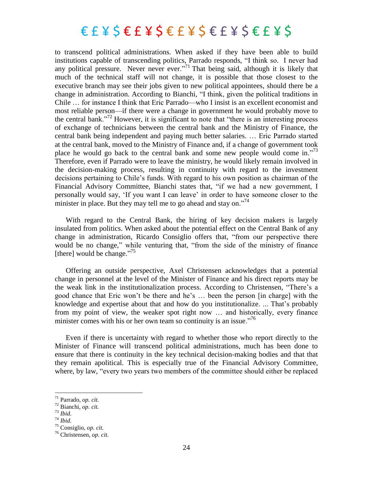to transcend political administrations. When asked if they have been able to build institutions capable of transcending politics, Parrado responds, "I think so. I never had any political pressure. Never never ever.<sup>71</sup> That being said, although it is likely that much of the technical staff will not change, it is possible that those closest to the executive branch may see their jobs given to new political appointees, should there be a change in administration. According to Bianchi, "I think, given the political traditions in Chile … for instance I think that Eric Parrado—who I insist is an excellent economist and most reliable person—if there were a change in government he would probably move to the central bank."<sup>72</sup> However, it is significant to note that "there is an interesting process of exchange of technicians between the central bank and the Ministry of Finance, the central bank being independent and paying much better salaries. … Eric Parrado started at the central bank, moved to the Ministry of Finance and, if a change of government took place he would go back to the central bank and some new people would come in.<sup>773</sup> Therefore, even if Parrado were to leave the ministry, he would likely remain involved in the decision-making process, resulting in continuity with regard to the investment decisions pertaining to Chile's funds. With regard to his own position as chairman of the Financial Advisory Committee, Bianchi states that, "if we had a new government, I personally would say, ‗If you want I can leave' in order to have someone closer to the minister in place. But they may tell me to go ahead and stay on. $174$ 

With regard to the Central Bank, the hiring of key decision makers is largely insulated from politics. When asked about the potential effect on the Central Bank of any change in administration, Ricardo Consiglio offers that, "from our perspective there would be no change," while venturing that, "from the side of the ministry of finance [there] would be change."<sup>75</sup>

Offering an outside perspective, Axel Christensen acknowledges that a potential change in personnel at the level of the Minister of Finance and his direct reports may be the weak link in the institutionalization process. According to Christensen, "There's a good chance that Eric won't be there and he's … been the person [in charge] with the knowledge and expertise about that and how do you institutionalize. ... That's probably from my point of view, the weaker spot right now … and historically, every finance minister comes with his or her own team so continuity is an issue.<sup>76</sup>

Even if there is uncertainty with regard to whether those who report directly to the Minister of Finance will transcend political administrations, much has been done to ensure that there is continuity in the key technical decision-making bodies and that that they remain apolitical. This is especially true of the Financial Advisory Committee, where, by law, "every two years two members of the committee should either be replaced

<sup>73</sup> *Ibid.*

l

<sup>71</sup> Parrado, *op. cit.*

<sup>72</sup> Bianchi, *op. cit.*

<sup>74</sup> *Ibid.*

<sup>75</sup> Consiglio, *op. cit.*

<sup>76</sup> Christensen, *op. cit.*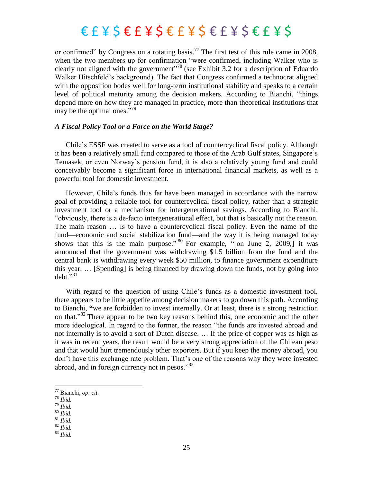or confirmed" by Congress on a rotating basis.<sup>77</sup> The first test of this rule came in 2008, when the two members up for confirmation "were confirmed, including Walker who is clearly not aligned with the government"<sup>78</sup> (see Exhibit 3.2 for a description of Eduardo Walker Hitschfeld's background). The fact that Congress confirmed a technocrat aligned with the opposition bodes well for long-term institutional stability and speaks to a certain level of political maturity among the decision makers. According to Bianchi, "things" depend more on how they are managed in practice, more than theoretical institutions that may be the optimal ones."<sup>79</sup>

#### *A Fiscal Policy Tool or a Force on the World Stage?*

Chile's ESSF was created to serve as a tool of countercyclical fiscal policy. Although it has been a relatively small fund compared to those of the Arab Gulf states, Singapore's Temasek, or even Norway's pension fund, it is also a relatively young fund and could conceivably become a significant force in international financial markets, as well as a powerful tool for domestic investment.

However, Chile's funds thus far have been managed in accordance with the narrow goal of providing a reliable tool for countercyclical fiscal policy, rather than a strategic investment tool or a mechanism for intergenerational savings. According to Bianchi, "obviously, there is a de-facto intergenerational effect, but that is basically not the reason. The main reason … is to have a countercyclical fiscal policy. Even the name of the fund—economic and social stabilization fund—and the way it is being managed today shows that this is the main purpose."<sup>80</sup> For example,  $\frac{1}{10}$  June 2, 2009,] it was announced that the government was withdrawing \$1.5 billion from the fund and the central bank is withdrawing every week \$50 million, to finance government expenditure this year. … [Spending] is being financed by drawing down the funds, not by going into  $debt.^{981}$ 

With regard to the question of using Chile's funds as a domestic investment tool, there appears to be little appetite among decision makers to go down this path. According to Bianchi, **"**we are forbidden to invest internally. Or at least, there is a strong restriction on that.<sup>82</sup> There appear to be two key reasons behind this, one economic and the other more ideological. In regard to the former, the reason "the funds are invested abroad and not internally is to avoid a sort of Dutch disease. … If the price of copper was as high as it was in recent years, the result would be a very strong appreciation of the Chilean peso and that would hurt tremendously other exporters. But if you keep the money abroad, you don't have this exchange rate problem. That's one of the reasons why they were invested abroad, and in foreign currency not in pesos."83

<sup>78</sup> *Ibid.*

 $\overline{\phantom{a}}$ 

<sup>79</sup> *Ibid.* <sup>80</sup> *Ibid.*

- <sup>82</sup> *Ibid.*
- <sup>83</sup> *Ibid.*

<sup>77</sup> Bianchi, *op. cit.*

<sup>81</sup> *Ibid.*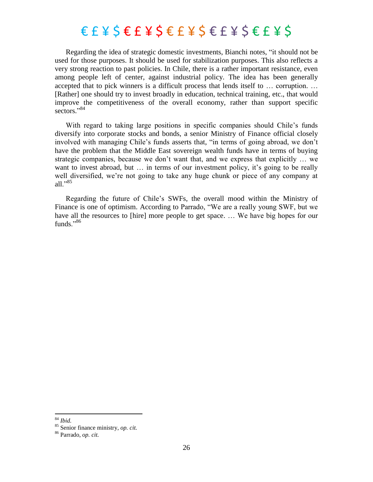Regarding the idea of strategic domestic investments, Bianchi notes, "it should not be used for those purposes. It should be used for stabilization purposes. This also reflects a very strong reaction to past policies. In Chile, there is a rather important resistance, even among people left of center, against industrial policy. The idea has been generally accepted that to pick winners is a difficult process that lends itself to … corruption. … [Rather] one should try to invest broadly in education, technical training, etc., that would improve the competitiveness of the overall economy, rather than support specific sectors."<sup>84</sup>

With regard to taking large positions in specific companies should Chile's funds diversify into corporate stocks and bonds, a senior Ministry of Finance official closely involved with managing Chile's funds asserts that, "in terms of going abroad, we don't have the problem that the Middle East sovereign wealth funds have in terms of buying strategic companies, because we don't want that, and we express that explicitly … we want to invest abroad, but ... in terms of our investment policy, it's going to be really well diversified, we're not going to take any huge chunk or piece of any company at all." $85$ 

Regarding the future of Chile's SWFs, the overall mood within the Ministry of Finance is one of optimism. According to Parrado, "We are a really young SWF, but we have all the resources to [hire] more people to get space. ... We have big hopes for our funds $^{1,86}$ 

<sup>84</sup> *Ibid.*

<sup>85</sup> Senior finance ministry, *op. cit.*

<sup>86</sup> Parrado, *op. cit.*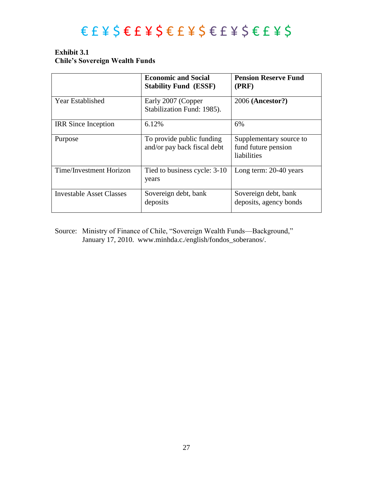### $E E E Y S E F Y S E F Y S E F Y S E F Y S F F Y S$

#### **Exhibit 3.1 Chile"s Sovereign Wealth Funds**

|                                 | <b>Economic and Social</b><br><b>Stability Fund (ESSF)</b> | <b>Pension Reserve Fund</b><br>(PRF)                          |
|---------------------------------|------------------------------------------------------------|---------------------------------------------------------------|
| <b>Year Established</b>         | Early 2007 (Copper<br>Stabilization Fund: 1985).           | 2006 (Ancestor?)                                              |
| <b>IRR</b> Since Inception      | 6.12%                                                      | 6%                                                            |
| Purpose                         | To provide public funding<br>and/or pay back fiscal debt   | Supplementary source to<br>fund future pension<br>liabilities |
| Time/Investment Horizon         | Tied to business cycle: 3-10<br>years                      | Long term: 20-40 years                                        |
| <b>Investable Asset Classes</b> | Sovereign debt, bank<br>deposits                           | Sovereign debt, bank<br>deposits, agency bonds                |

Source: Ministry of Finance of Chile, "Sovereign Wealth Funds—Background," January 17, 2010. www.minhda.c./english/fondos\_soberanos/.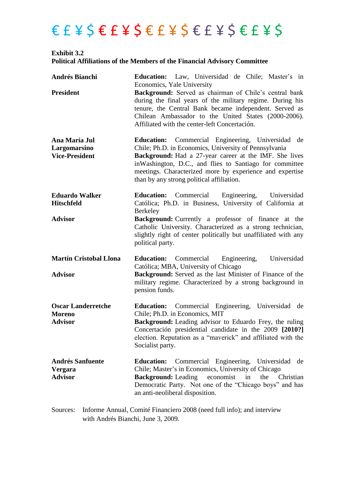### $E E E E E E E E E E E E E E E E E E E E E E$

**Exhibit 3.2 Political Affiliations of the Members of the Financial Advisory Committee** 

| <b>Andrés Bianchi</b>                                        | <b>Education:</b> Law, Universidad de Chile; Master's in                                                                                                                                                                                                                                                                                                |
|--------------------------------------------------------------|---------------------------------------------------------------------------------------------------------------------------------------------------------------------------------------------------------------------------------------------------------------------------------------------------------------------------------------------------------|
| <b>President</b>                                             | Economics, Yale University<br>Background: Served as chairman of Chile's central bank<br>during the final years of the military regime. During his<br>tenure, the Central Bank became independent. Served as<br>Chilean Ambassador to the United States (2000-2006).<br>Affiliated with the center-left Concertación.                                    |
| Ana María Jul<br>Largomarsino<br><b>Vice-President</b>       | <b>Education:</b> Commercial Engineering, Universidad de<br>Chile; Ph.D. in Economics, University of Pennsylvania<br><b>Background:</b> Had a 27-year career at the IMF. She lives<br>in Washington, D.C., and flies to Santiago for committee<br>meetings. Characterized more by experience and expertise<br>than by any strong political affiliation. |
| <b>Eduardo Walker</b><br><b>Hitschfeld</b>                   | Commercial Engineering, Universidad<br><b>Education:</b><br>Católica; Ph.D. in Business, University of California at<br>Berkeley                                                                                                                                                                                                                        |
| <b>Advisor</b>                                               | <b>Background:</b> Currently a professor of finance at the<br>Catholic University. Characterized as a strong technician,<br>slightly right of center politically but unaffiliated with any<br>political party.                                                                                                                                          |
| <b>Martín Cristobal Llona</b><br><b>Advisor</b>              | Universidad<br>Engineering,<br><b>Education:</b> Commercial<br>Católica; MBA, University of Chicago<br><b>Background:</b> Served as the last Minister of Finance of the<br>military regime. Characterized by a strong background in<br>pension funds.                                                                                                   |
| <b>Oscar Landerretche</b><br><b>Moreno</b><br><b>Advisor</b> | <b>Education:</b> Commercial Engineering, Universidad de<br>Chile; Ph.D. in Economics, MIT<br><b>Background:</b> Leading advisor to Eduardo Frey, the ruling<br>Concertación presidential candidate in the 2009 [2010?]<br>election. Reputation as a "maverick" and affiliated with the<br>Socialist party.                                             |
| <b>Andrés Sanfuente</b><br><b>Vergara</b><br><b>Advisor</b>  | <b>Education:</b><br>Commercial Engineering, Universidad<br>de<br>Chile; Master's in Economics, University of Chicago<br><b>Background: Leading</b><br>economist<br>in<br>the<br>Christian<br>Democratic Party. Not one of the "Chicago boys" and has<br>an anti-neoliberal disposition.                                                                |
| $\mathcal{C}_{\Omega^{11}2222}$                              | Informa Annual Comité Financiara 2008 (nood full info); and interview                                                                                                                                                                                                                                                                                   |

Sources: Informe Annual, Comité Financiero 2008 (need full info); and interview with Andrés Bianchi, June 3, 2009.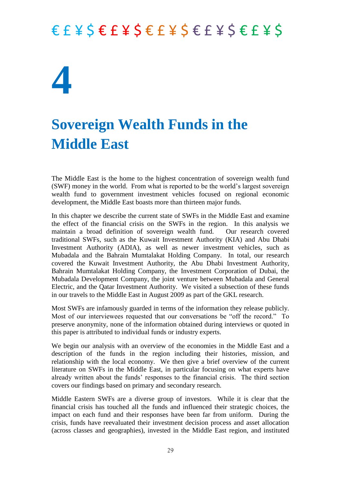# **4**

### **Sovereign Wealth Funds in the Middle East**

The Middle East is the home to the highest concentration of sovereign wealth fund (SWF) money in the world. From what is reported to be the world's largest sovereign wealth fund to government investment vehicles focused on regional economic development, the Middle East boasts more than thirteen major funds.

In this chapter we describe the current state of SWFs in the Middle East and examine the effect of the financial crisis on the SWFs in the region. In this analysis we maintain a broad definition of sovereign wealth fund. Our research covered traditional SWFs, such as the Kuwait Investment Authority (KIA) and Abu Dhabi Investment Authority (ADIA), as well as newer investment vehicles, such as Mubadala and the Bahrain Mumtalakat Holding Company. In total, our research covered the Kuwait Investment Authority, the Abu Dhabi Investment Authority, Bahrain Mumtalakat Holding Company, the Investment Corporation of Dubai, the Mubadala Development Company, the joint venture between Mubadala and General Electric, and the Qatar Investment Authority. We visited a subsection of these funds in our travels to the Middle East in August 2009 as part of the GKL research.

Most SWFs are infamously guarded in terms of the information they release publicly. Most of our interviewees requested that our conversations be "off the record." To preserve anonymity, none of the information obtained during interviews or quoted in this paper is attributed to individual funds or industry experts.

We begin our analysis with an overview of the economies in the Middle East and a description of the funds in the region including their histories, mission, and relationship with the local economy. We then give a brief overview of the current literature on SWFs in the Middle East, in particular focusing on what experts have already written about the funds' responses to the financial crisis. The third section covers our findings based on primary and secondary research.

Middle Eastern SWFs are a diverse group of investors. While it is clear that the financial crisis has touched all the funds and influenced their strategic choices, the impact on each fund and their responses have been far from uniform. During the crisis, funds have reevaluated their investment decision process and asset allocation (across classes and geographies), invested in the Middle East region, and instituted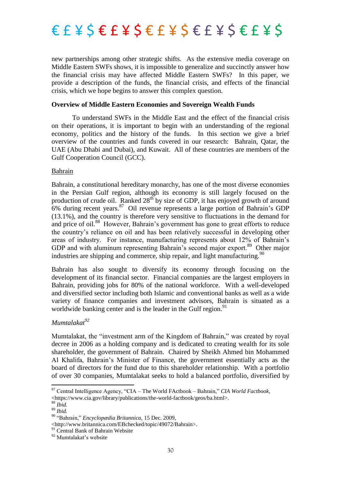

new partnerships among other strategic shifts. As the extensive media coverage on Middle Eastern SWFs shows, it is impossible to generalize and succinctly answer how the financial crisis may have affected Middle Eastern SWFs? In this paper, we provide a description of the funds, the financial crisis, and effects of the financial crisis, which we hope begins to answer this complex question.

#### **Overview of Middle Eastern Economies and Sovereign Wealth Funds**

To understand SWFs in the Middle East and the effect of the financial crisis on their operations, it is important to begin with an understanding of the regional economy, politics and the history of the funds. In this section we give a brief overview of the countries and funds covered in our research: Bahrain, Qatar, the UAE (Abu Dhabi and Dubai), and Kuwait. All of these countries are members of the Gulf Cooperation Council (GCC).

#### Bahrain

Bahrain, a constitutional hereditary monarchy, has one of the most diverse economies in the Persian Gulf region, although its economy is still largely focused on the production of crude oil. Ranked  $28^{th}$  by size of GDP, it has enjoyed growth of around 6% during recent years.<sup>87</sup> Oil revenue represents a large portion of Bahrain's GDP (13.1%), and the country is therefore very sensitive to fluctuations in the demand for and price of oil.<sup>88</sup> However, Bahrain's government has gone to great efforts to reduce the country's reliance on oil and has been relatively successful in developing other areas of industry. For instance, manufacturing represents about 12% of Bahrain's GDP and with aluminum representing Bahrain's second major export.<sup>89</sup> Other major industries are shipping and commerce, ship repair, and light manufacturing.  $90$ 

Bahrain has also sought to diversify its economy through focusing on the development of its financial sector. Financial companies are the largest employers in Bahrain, providing jobs for 80% of the national workforce. With a well-developed and diversified sector including both Islamic and conventional banks as well as a wide variety of finance companies and investment advisors, Bahrain is situated as a worldwide banking center and is the leader in the Gulf region.<sup>91</sup>

#### *Mumtalakat<sup>92</sup>*

Mumtalakat, the "investment arm of the Kingdom of Bahrain," was created by royal decree in 2006 as a holding company and is dedicated to creating wealth for its sole shareholder, the government of Bahrain. Chaired by Sheikh Ahmed bin Mohammed Al Khalifa, Bahrain's Minister of Finance, the government essentially acts as the board of directors for the fund due to this shareholder relationship. With a portfolio of over 30 companies, Mumtalakat seeks to hold a balanced portfolio, diversified by

**.** 

 $87$  Central Intelligence Agency, "CIA – The World FActbook – Bahrain," CIA World Factbook,

<sup>&</sup>lt;https://www.cia.gov/library/publications/the-world-factbook/geos/ba.html>.

<sup>88</sup> *Ibid.*

<sup>89</sup> *Ibid.*

<sup>90</sup> ―Bahrain,‖ *Encyclopædia Britannica,* 15 Dec. 2009,

<sup>&</sup>lt;http://www.britannica.com/EBchecked/topic/49072/Bahrain>.

<sup>&</sup>lt;sup>91</sup> Central Bank of Bahrain Website

<sup>&</sup>lt;sup>92</sup> Mumtalakat's website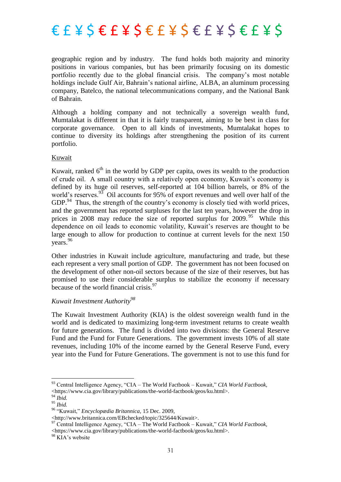

geographic region and by industry. The fund holds both majority and minority positions in various companies, but has been primarily focusing on its domestic portfolio recently due to the global financial crisis. The company's most notable holdings include Gulf Air, Bahrain's national airline, ALBA, an aluminum processing company, Batelco, the national telecommunications company, and the National Bank of Bahrain.

Although a holding company and not technically a sovereign wealth fund, Mumtalakat is different in that it is fairly transparent, aiming to be best in class for corporate governance. Open to all kinds of investments, Mumtalakat hopes to continue to diversity its holdings after strengthening the position of its current portfolio.

#### Kuwait

Kuwait, ranked  $6<sup>th</sup>$  in the world by GDP per capita, owes its wealth to the production of crude oil. A small country with a relatively open economy, Kuwait's economy is defined by its huge oil reserves, self-reported at 104 billion barrels, or 8% of the world's reserves.  $93\overline{5}$  Oil accounts for 95% of export revenues and well over half of the  $GDP<sup>94</sup>$  Thus, the strength of the country's economy is closely tied with world prices, and the government has reported surpluses for the last ten years, however the drop in prices in 2008 may reduce the size of reported surplus for 2009.<sup>95</sup> While this dependence on oil leads to economic volatility, Kuwait's reserves are thought to be large enough to allow for production to continue at current levels for the next 150 years.<sup>96</sup>

Other industries in Kuwait include agriculture, manufacturing and trade, but these each represent a very small portion of GDP. The government has not been focused on the development of other non-oil sectors because of the size of their reserves, but has promised to use their considerable surplus to stabilize the economy if necessary because of the world financial crisis.<sup>97</sup>

#### *Kuwait Investment Authority<sup>98</sup>*

The Kuwait Investment Authority (KIA) is the oldest sovereign wealth fund in the world and is dedicated to maximizing long-term investment returns to create wealth for future generations. The fund is divided into two divisions: the General Reserve Fund and the Fund for Future Generations. The government invests 10% of all state revenues, including 10% of the income earned by the General Reserve Fund, every year into the Fund for Future Generations. The government is not to use this fund for

 $\overline{a}$ 

<sup>&</sup>lt;sup>93</sup> Central Intelligence Agency, "CIA – The World Factbook – Kuwait," CIA World Factbook,

<sup>&</sup>lt;https://www.cia.gov/library/publications/the-world-factbook/geos/ku.html>.

<sup>94</sup> *Ibid.*

<sup>95</sup> *Ibid.*

<sup>&</sup>lt;sup>96</sup> "Kuwait," *Encyclopædia Britannica*, 15 Dec. 2009,

<sup>&</sup>lt;http://www.britannica.com/EBchecked/topic/325644/Kuwait>.

<sup>97</sup> Central Intelligence Agency, "CIA – The World Factbook – Kuwait," CIA World Factbook, <https://www.cia.gov/library/publications/the-world-factbook/geos/ku.html>.

<sup>&</sup>lt;sup>98</sup> KIA's website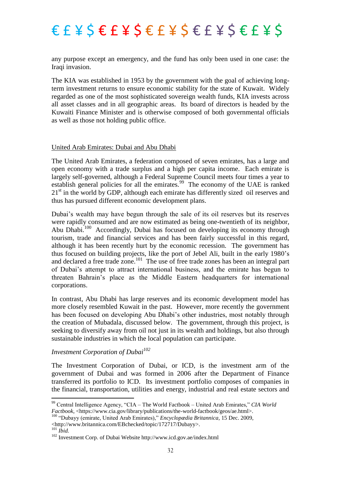any purpose except an emergency, and the fund has only been used in one case: the Iraqi invasion.

The KIA was established in 1953 by the government with the goal of achieving longterm investment returns to ensure economic stability for the state of Kuwait. Widely regarded as one of the most sophisticated sovereign wealth funds, KIA invests across all asset classes and in all geographic areas. Its board of directors is headed by the Kuwaiti Finance Minister and is otherwise composed of both governmental officials as well as those not holding public office.

#### United Arab Emirates: Dubai and Abu Dhabi

The United Arab Emirates, a federation composed of seven emirates, has a large and open economy with a trade surplus and a high per capita income. Each emirate is largely self-governed, although a Federal Supreme Council meets four times a year to establish general policies for all the emirates.<sup>99</sup> The economy of the UAE is ranked  $21<sup>st</sup>$  in the world by GDP, although each emirate has differently sized oil reserves and thus has pursued different economic development plans.

Dubai's wealth may have begun through the sale of its oil reserves but its reserves were rapidly consumed and are now estimated as being one-twentieth of its neighbor, Abu Dhabi.<sup>100</sup> Accordingly, Dubai has focused on developing its economy through tourism, trade and financial services and has been fairly successful in this regard, although it has been recently hurt by the economic recession. The government has thus focused on building projects, like the port of Jebel Ali, built in the early 1980's and declared a free trade zone.<sup>101</sup> The use of free trade zones has been an integral part of Dubai's attempt to attract international business, and the emirate has begun to threaten Bahrain's place as the Middle Eastern headquarters for international corporations.

In contrast, Abu Dhabi has large reserves and its economic development model has more closely resembled Kuwait in the past. However, more recently the government has been focused on developing Abu Dhabi's other industries, most notably through the creation of Mubadala, discussed below. The government, through this project, is seeking to diversify away from oil not just in its wealth and holdings, but also through sustainable industries in which the local population can participate.

#### *Investment Corporation of Dubai<sup>102</sup>*

The Investment Corporation of Dubai, or ICD, is the investment arm of the government of Dubai and was formed in 2006 after the Department of Finance transferred its portfolio to ICD. Its investment portfolio composes of companies in the financial, transportation, utilities and energy, industrial and real estate sectors and

1

<sup>&</sup>lt;sup>99</sup> Central Intelligence Agency, "CIA – The World Factbook – United Arab Emirates," CIA World *Factbook*, <https://www.cia.gov/library/publications/the-world-factbook/geos/ae.html>.

<sup>&</sup>lt;sup>100</sup> "Dubavy (emirate, United Arab Emirates)," *Encyclopædia Britannica*, 15 Dec. 2009, <http://www.britannica.com/EBchecked/topic/172717/Dubayy>.

<sup>101</sup> *Ibid.*

<sup>102</sup> Investment Corp. of Dubai Website http://www.icd.gov.ae/index.html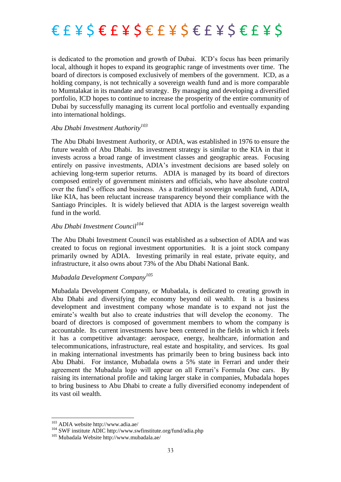

is dedicated to the promotion and growth of Dubai. ICD's focus has been primarily local, although it hopes to expand its geographic range of investments over time. The board of directors is composed exclusively of members of the government. ICD, as a holding company, is not technically a sovereign wealth fund and is more comparable to Mumtalakat in its mandate and strategy. By managing and developing a diversified portfolio, ICD hopes to continue to increase the prosperity of the entire community of Dubai by successfully managing its current local portfolio and eventually expanding into international holdings.

#### *Abu Dhabi Investment Authority<sup>103</sup>*

The Abu Dhabi Investment Authority, or ADIA, was established in 1976 to ensure the future wealth of Abu Dhabi. Its investment strategy is similar to the KIA in that it invests across a broad range of investment classes and geographic areas. Focusing entirely on passive investments, ADIA's investment decisions are based solely on achieving long-term superior returns. ADIA is managed by its board of directors composed entirely of government ministers and officials, who have absolute control over the fund's offices and business. As a traditional sovereign wealth fund, ADIA, like KIA, has been reluctant increase transparency beyond their compliance with the Santiago Principles. It is widely believed that ADIA is the largest sovereign wealth fund in the world.

#### *Abu Dhabi Investment Council<sup>104</sup>*

The Abu Dhabi Investment Council was established as a subsection of ADIA and was created to focus on regional investment opportunities. It is a joint stock company primarily owned by ADIA. Investing primarily in real estate, private equity, and infrastructure, it also owns about 73% of the Abu Dhabi National Bank.

#### *Mubadala Development Company<sup>105</sup>*

Mubadala Development Company, or Mubadala, is dedicated to creating growth in Abu Dhabi and diversifying the economy beyond oil wealth. It is a business development and investment company whose mandate is to expand not just the emirate's wealth but also to create industries that will develop the economy. The board of directors is composed of government members to whom the company is accountable. Its current investments have been centered in the fields in which it feels it has a competitive advantage: aerospace, energy, healthcare, information and telecommunications, infrastructure, real estate and hospitality, and services. Its goal in making international investments has primarily been to bring business back into Abu Dhabi. For instance, Mubadala owns a 5% state in Ferrari and under their agreement the Mubadala logo will appear on all Ferrari's Formula One cars. By raising its international profile and taking larger stake in companies, Mubadala hopes to bring business to Abu Dhabi to create a fully diversified economy independent of its vast oil wealth.

<sup>1</sup> <sup>103</sup> ADIA website http://www.adia.ae/

<sup>104</sup> SWF institute ADIC http://www.swfinstitute.org/fund/adia.php

<sup>105</sup> Mubadala Website http://www.mubadala.ae/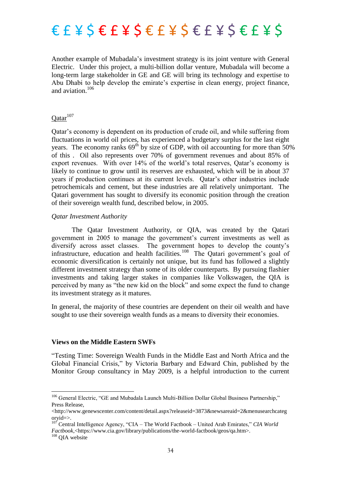

Another example of Mubadala's investment strategy is its joint venture with General Electric. Under this project, a multi-billion dollar venture, Mubadala will become a long-term large stakeholder in GE and GE will bring its technology and expertise to Abu Dhabi to help develop the emirate's expertise in clean energy, project finance, and aviation.<sup>106</sup>

### $Qatar<sup>107</sup>$

Qatar's economy is dependent on its production of crude oil, and while suffering from fluctuations in world oil prices, has experienced a budgetary surplus for the last eight years. The economy ranks  $69<sup>th</sup>$  by size of GDP, with oil accounting for more than 50% of this . Oil also represents over 70% of government revenues and about 85% of export revenues. With over 14% of the world's total reserves, Qatar's economy is likely to continue to grow until its reserves are exhausted, which will be in about 37 years if production continues at its current levels. Qatar's other industries include petrochemicals and cement, but these industries are all relatively unimportant. The Qatari government has sought to diversify its economic position through the creation of their sovereign wealth fund, described below, in 2005.

#### *Qatar Investment Authority*

The Qatar Investment Authority, or QIA, was created by the Qatari government in 2005 to manage the government's current investments as well as diversify across asset classes. The government hopes to develop the county's infrastructure, education and health facilities.<sup>108</sup> The Qatari government's goal of economic diversification is certainly not unique, but its fund has followed a slightly different investment strategy than some of its older counterparts. By pursuing flashier investments and taking larger stakes in companies like Volkswagen, the QIA is perceived by many as "the new kid on the block" and some expect the fund to change its investment strategy as it matures.

In general, the majority of these countries are dependent on their oil wealth and have sought to use their sovereign wealth funds as a means to diversity their economies.

#### **Views on the Middle Eastern SWFs**

―Testing Time: Sovereign Wealth Funds in the Middle East and North Africa and the Global Financial Crisis," by Victoria Barbary and Edward Chin, published by the Monitor Group consultancy in May 2009, is a helpful introduction to the current

<sup>&</sup>lt;sup>106</sup> General Electric, "GE and Mubadala Launch Multi-Billion Dollar Global Business Partnership," Press Release,

<sup>&</sup>lt;http://www.genewscenter.com/content/detail.aspx?releaseid=3873&newsareaid=2&menusearchcateg oryid=>.

<sup>107</sup> Central Intelligence Agency, "CIA – The World Factbook – United Arab Emirates," CIA World *Factbook,*<https://www.cia.gov/library/publications/the-world-factbook/geos/qa.htm>.

<sup>&</sup>lt;sup>108</sup> OIA website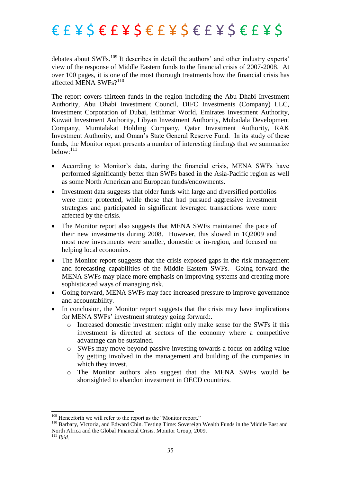debates about SWFs.<sup>109</sup> It describes in detail the authors' and other industry experts' view of the response of Middle Eastern funds to the financial crisis of 2007-2008. At over 100 pages, it is one of the most thorough treatments how the financial crisis has affected MENA SWFs $?$ <sup>110</sup>

The report covers thirteen funds in the region including the Abu Dhabi Investment Authority, Abu Dhabi Investment Council, DIFC Investments (Company) LLC, Investment Corporation of Dubai, Istithmar World, Emirates Investment Authority, Kuwait Investment Authority, Libyan Investment Authority, Mubadala Development Company, Mumtalakat Holding Company, Qatar Investment Authority, RAK Investment Authority, and Oman's State General Reserve Fund. In its study of these funds, the Monitor report presents a number of interesting findings that we summarize below:<sup>111</sup>

- According to Monitor's data, during the financial crisis, MENA SWFs have performed significantly better than SWFs based in the Asia-Pacific region as well as some North American and European funds/endowments.
- Investment data suggests that older funds with large and diversified portfolios were more protected, while those that had pursued aggressive investment strategies and participated in significant leveraged transactions were more affected by the crisis.
- The Monitor report also suggests that MENA SWFs maintained the pace of their new investments during 2008. However, this slowed in 1Q2009 and most new investments were smaller, domestic or in-region, and focused on helping local economies.
- The Monitor report suggests that the crisis exposed gaps in the risk management and forecasting capabilities of the Middle Eastern SWFs. Going forward the MENA SWFs may place more emphasis on improving systems and creating more sophisticated ways of managing risk.
- Going forward, MENA SWFs may face increased pressure to improve governance and accountability.
- In conclusion, the Monitor report suggests that the crisis may have implications for MENA SWFs' investment strategy going forward:.
	- o Increased domestic investment might only make sense for the SWFs if this investment is directed at sectors of the economy where a competitive advantage can be sustained.
	- o SWFs may move beyond passive investing towards a focus on adding value by getting involved in the management and building of the companies in which they invest.
	- o The Monitor authors also suggest that the MENA SWFs would be shortsighted to abandon investment in OECD countries.

 $109$  Henceforth we will refer to the report as the "Monitor report."

<sup>&</sup>lt;sup>110</sup> Barbary, Victoria, and Edward Chin. Testing Time: Sovereign Wealth Funds in the Middle East and North Africa and the Global Financial Crisis. Monitor Group, 2009.

 $^{111}$  *Ibid.*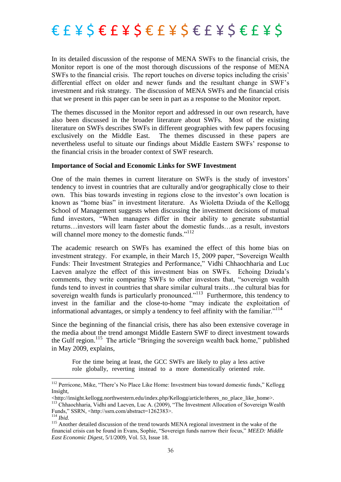In its detailed discussion of the response of MENA SWFs to the financial crisis, the Monitor report is one of the most thorough discussions of the response of MENA SWFs to the financial crisis. The report touches on diverse topics including the crisis' differential effect on older and newer funds and the resultant change in SWF's investment and risk strategy. The discussion of MENA SWFs and the financial crisis that we present in this paper can be seen in part as a response to the Monitor report.

The themes discussed in the Monitor report and addressed in our own research, have also been discussed in the broader literature about SWFs. Most of the existing literature on SWFs describes SWFs in different geographies with few papers focusing exclusively on the Middle East. The themes discussed in these papers are nevertheless useful to situate our findings about Middle Eastern SWFs' response to the financial crisis in the broader context of SWF research.

#### **Importance of Social and Economic Links for SWF Investment**

One of the main themes in current literature on SWFs is the study of investors' tendency to invest in countries that are culturally and/or geographically close to their own. This bias towards investing in regions close to the investor's own location is known as "home bias" in investment literature. As Wioletta Dziuda of the Kellogg School of Management suggests when discussing the investment decisions of mutual fund investors, "When managers differ in their ability to generate substantial returns…investors will learn faster about the domestic funds…as a result, investors will channel more money to the domestic funds."<sup>112</sup>

The academic research on SWFs has examined the effect of this home bias on investment strategy. For example, in their March 15, 2009 paper, "Sovereign Wealth" Funds: Their Investment Strategies and Performance," Vidhi Chhaochharia and Luc Laeven analyze the effect of this investment bias on SWFs. Echoing Dziuda's comments, they write comparing SWFs to other investors that, "sovereign wealth" funds tend to invest in countries that share similar cultural traits…the cultural bias for sovereign wealth funds is particularly pronounced."<sup>113</sup> Furthermore, this tendency to invest in the familiar and the close-to-home "may indicate the exploitation of informational advantages, or simply a tendency to feel affinity with the familiar.<sup> $114$ </sup>

Since the beginning of the financial crisis, there has also been extensive coverage in the media about the trend amongst Middle Eastern SWF to direct investment towards the Gulf region.<sup>115</sup> The article "Bringing the sovereign wealth back home," published in May 2009, explains,

For the time being at least, the GCC SWFs are likely to play a less active role globally, reverting instead to a more domestically oriented role.

 $\overline{\phantom{a}}$ 

<sup>&</sup>lt;sup>112</sup> Perricone, Mike, "There's No Place Like Home: Investment bias toward domestic funds," Kellogg Insight,

<sup>&</sup>lt;http://insight.kellogg.northwestern.edu/index.php/Kellogg/article/theres\_no\_place\_like\_home>. <sup>113</sup> Chhaochharia, Vidhi and Laeven, Luc A. (2009), "The Investment Allocation of Sovereign Wealth Funds," SSRN, <http://ssrn.com/abstract=1262383>.

<sup>114</sup> *Ibid.*

<sup>&</sup>lt;sup>115</sup> Another detailed discussion of the trend towards MENA regional investment in the wake of the financial crisis can be found in Evans, Sophie, "Sovereign funds narrow their focus," MEED: Middle *East Economic Digest*, 5/1/2009, Vol. 53, Issue 18.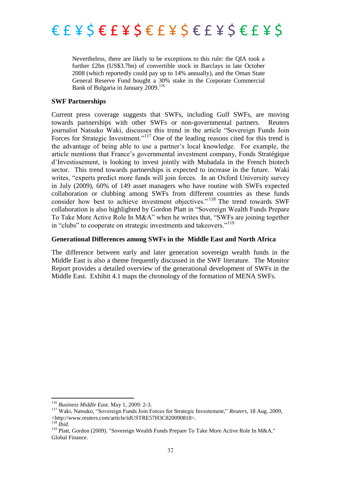

Nevertheless, there are likely to be exceptions to this rule: the QIA took a further £2bn (US\$3.7bn) of convertible stock in Barclays in late October 2008 (which reportedly could pay up to 14% annually), and the Oman State General Reserve Fund bought a 30% stake in the Corporate Commercial Bank of Bulgaria in January 2009.<sup>116</sup>

#### **SWF Partnerships**

Current press coverage suggests that SWFs, including Gulf SWFs, are moving towards partnerships with other SWFs or non-governmental partners. Reuters journalist Natsuko Waki, discusses this trend in the article "Sovereign Funds Join Forces for Strategic Investment."<sup>117</sup> One of the leading reasons cited for this trend is the advantage of being able to use a partner's local knowledge. For example, the article mentions that France's governmental investment company, Fonds Stratégique d'Investissement, is looking to invest jointly with Mubadala in the French biotech sector. This trend towards partnerships is expected to increase in the future. Waki writes, "experts predict more funds will join forces. In an Oxford University survey in July (2009), 60% of 149 asset managers who have routine with SWFs expected collaboration or clubbing among SWFs from different countries as these funds consider how best to achieve investment objectives."<sup>118</sup> The trend towards SWF collaboration is also highlighted by Gordon Platt in "Sovereign Wealth Funds Prepare To Take More Active Role In M&A" when he writes that, "SWFs are joining together in "clubs" to cooperate on strategic investments and takeovers."<sup>119</sup>

### **Generational Differences among SWFs in the Middle East and North Africa**

The difference between early and later generation sovereign wealth funds in the Middle East is also a theme frequently discussed in the SWF literature. The Monitor Report provides a detailed overview of the generational development of SWFs in the Middle East. Exhibit 4.1 maps the chronology of the formation of MENA SWFs.

<sup>116</sup> *Business Middle East*. May 1, 2009: 2-3.

<sup>&</sup>lt;sup>117</sup> Waki, Natsuko, "Sovereign Funds Join Forces for Strategic Investement," *Reuters*, 18 Aug. 2009, <http://www.reuters.com/article/idUSTRE57H3C820090818>.

<sup>118</sup> *Ibid.*

<sup>&</sup>lt;sup>119</sup> Platt. Gordon (2009). "Sovereign Wealth Funds Prepare To Take More Active Role In M&A." Global Finance.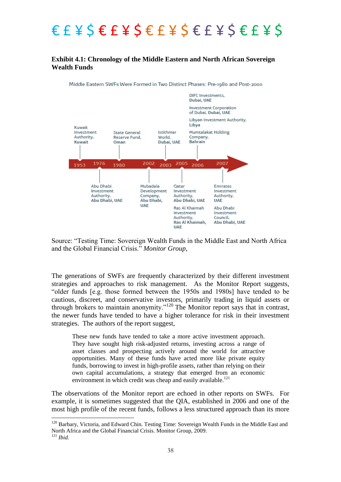### **Exhibit 4.1: Chronology of the Middle Eastern and North African Sovereign Wealth Funds**

Middle Eastern SWFs Were Formed in Two Distinct Phases: Pre-1980 and Post-2000



Source: "Testing Time: Sovereign Wealth Funds in the Middle East and North Africa and the Global Financial Crisis." Monitor Group,

The generations of SWFs are frequently characterized by their different investment strategies and approaches to risk management. As the Monitor Report suggests, "older funds [e.g. those formed between the 1950s and 1980s] have tended to be cautious, discreet, and conservative investors, primarily trading in liquid assets or through brokers to maintain anonymity."<sup>120</sup> The Monitor report says that in contrast, the newer funds have tended to have a higher tolerance for risk in their investment strategies. The authors of the report suggest,

These new funds have tended to take a more active investment approach. They have sought high risk-adjusted returns, investing across a range of asset classes and prospecting actively around the world for attractive opportunities. Many of these funds have acted more like private equity funds, borrowing to invest in high-profile assets, rather than relying on their own capital accumulations, a strategy that emerged from an economic environment in which credit was cheap and easily available.<sup>121</sup>

The observations of the Monitor report are echoed in other reports on SWFs. For example, it is sometimes suggested that the QIA, established in 2006 and one of the most high profile of the recent funds, follows a less structured approach than its more

<sup>&</sup>lt;sup>120</sup> Barbary, Victoria, and Edward Chin. Testing Time: Sovereign Wealth Funds in the Middle East and North Africa and the Global Financial Crisis. Monitor Group, 2009.

<sup>121</sup> *Ibid.*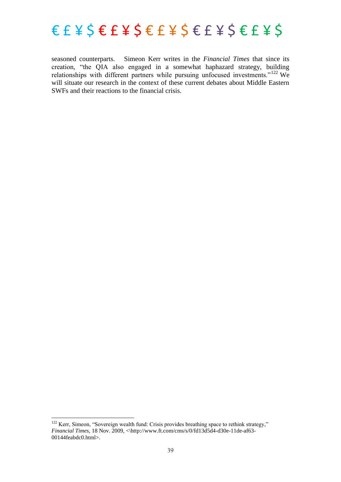

seasoned counterparts. Simeon Kerr writes in the *Financial Times* that since its creation, "the QIA also engaged in a somewhat haphazard strategy, building relationships with different partners while pursuing unfocused investments." $122$  We will situate our research in the context of these current debates about Middle Eastern SWFs and their reactions to the financial crisis.

 $122$  Kerr, Simeon, "Sovereign wealth fund: Crisis provides breathing space to rethink strategy," *Financial Times*, 18 Nov. 2009, <\http://www.ft.com/cms/s/0/fd13d5d4-d30e-11de-af63- 00144feabdc0.html>.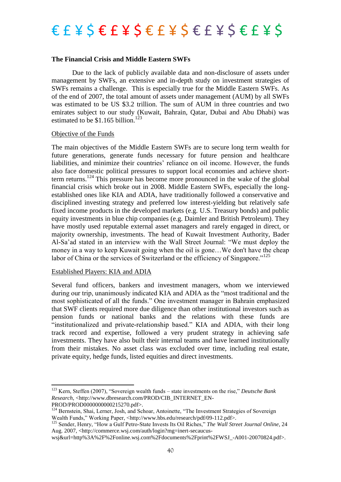### $E E E E E E E E E E E E E E E E E E E E E E$

#### **The Financial Crisis and Middle Eastern SWFs**

Due to the lack of publicly available data and non-disclosure of assets under management by SWFs, an extensive and in-depth study on investment strategies of SWFs remains a challenge. This is especially true for the Middle Eastern SWFs. As of the end of 2007, the total amount of assets under management (AUM) by all SWFs was estimated to be US \$3.2 trillion. The sum of AUM in three countries and two emirates subject to our study (Kuwait, Bahrain, Qatar, Dubai and Abu Dhabi) was estimated to be  $$1.165$  billion.<sup>123</sup>

#### Objective of the Funds

The main objectives of the Middle Eastern SWFs are to secure long term wealth for future generations, generate funds necessary for future pension and healthcare liabilities, and minimize their countries' reliance on oil income. However, the funds also face domestic political pressures to support local economies and achieve shortterm returns.<sup>124</sup> This pressure has become more pronounced in the wake of the global financial crisis which broke out in 2008. Middle Eastern SWFs, especially the longestablished ones like KIA and ADIA, have traditionally followed a conservative and disciplined investing strategy and preferred low interest-yielding but relatively safe fixed income products in the developed markets (e.g. U.S. Treasury bonds) and public equity investments in blue chip companies (e.g. Daimler and British Petroleum). They have mostly used reputable external asset managers and rarely engaged in direct, or majority ownership, investments. The head of Kuwait Investment Authority, Bader Al-Sa'ad stated in an interview with the Wall Street Journal: "We must deploy the money in a way to keep Kuwait going when the oil is gone…We don't have the cheap labor of China or the services of Switzerland or the efficiency of Singapore."<sup>125</sup>

#### Established Players: KIA and ADIA

Several fund officers, bankers and investment managers, whom we interviewed during our trip, unanimously indicated KIA and ADIA as the "most traditional and the most sophisticated of all the funds." One investment manager in Bahrain emphasized that SWF clients required more due diligence than other institutional investors such as pension funds or national banks and the relations with these funds are "institutionalized and private-relationship based." KIA and ADIA, with their long track record and expertise, followed a very prudent strategy in achieving safe investments. They have also built their internal teams and have learned institutionally from their mistakes. No asset class was excluded over time, including real estate, private equity, hedge funds, listed equities and direct investments.

<sup>&</sup>lt;sup>123</sup> Kern, Steffen (2007), "Sovereign wealth funds – state investments on the rise," *Deutsche Bank Research*, <http://www.dbresearch.com/PROD/CIB\_INTERNET\_EN-

PROD/PROD0000000000215270.pdf>.

<sup>124</sup> Bernstein, Shai, Lerner, Josh, and Schoar, Antoinette, "The Investment Strategies of Sovereign Wealth Funds," Working Paper, <http://www.hbs.edu/research/pdf/09-112.pdf>.

<sup>125</sup> Sender, Henry, "How a Gulf Petro-State Invests Its Oil Riches," The Wall Street Journal Online, 24 Aug. 2007, <http://commerce.wsj.com/auth/login?mg=inert-secaucus-

wsj&url=http%3A%2F%2Fonline.wsj.com%2Fdocuments%2Fprint%2FWSJ\_-A001-20070824.pdf>.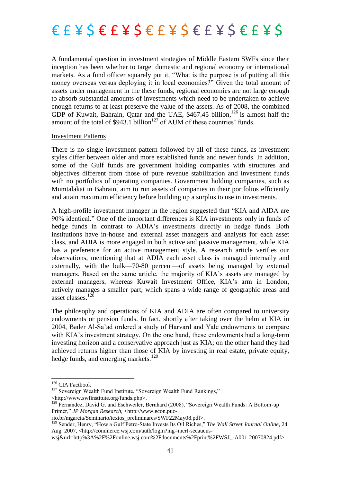

A fundamental question in investment strategies of Middle Eastern SWFs since their inception has been whether to target domestic and regional economy or international markets. As a fund officer squarely put it, "What is the purpose is of putting all this money overseas versus deploying it in local economies?" Given the total amount of assets under management in the these funds, regional economies are not large enough to absorb substantial amounts of investments which need to be undertaken to achieve enough returns to at least preserve the value of the assets. As of 2008, the combined GDP of Kuwait, Bahrain, Qatar and the UAE, \$467.45 billion,<sup>126</sup> is almost half the amount of the total of  $$943.1$  billion<sup>127</sup> of AUM of these countries' funds.

#### Investment Patterns

There is no single investment pattern followed by all of these funds, as investment styles differ between older and more established funds and newer funds. In addition, some of the Gulf funds are government holding companies with structures and objectives different from those of pure revenue stabilization and investment funds with no portfolios of operating companies. Government holding companies, such as Mumtalakat in Bahrain, aim to run assets of companies in their portfolios efficiently and attain maximum efficiency before building up a surplus to use in investments.

A high-profile investment manager in the region suggested that "KIA and AIDA are 90% identical." One of the important differences is KIA investments only in funds of hedge funds in contrast to ADIA's investments directly in hedge funds. Both institutions have in-house and external asset managers and analysts for each asset class, and ADIA is more engaged in both active and passive management, while KIA has a preference for an active management style. A research article verifies our observations, mentioning that at ADIA each asset class is managed internally and externally, with the bulk—70-80 percent—of assets being managed by external managers. Based on the same article, the majority of KIA's assets are managed by external managers, whereas Kuwait Investment Office, KIA's arm in London, actively manages a smaller part, which spans a wide range of geographic areas and asset classes.<sup>128</sup>

The philosophy and operations of KIA and ADIA are often compared to university endowments or pension funds. In fact, shortly after taking over the helm at KIA in 2004, Bader Al-Sa'ad ordered a study of Harvard and Yale endowments to compare with KIA's investment strategy. On the one hand, these endowments had a long-term investing horizon and a conservative approach just as KIA; on the other hand they had achieved returns higher than those of KIA by investing in real estate, private equity, hedge funds, and emerging markets. $129$ 

 $\overline{\phantom{a}}$ 

<sup>&</sup>lt;sup>126</sup> CIA Factbook

<sup>&</sup>lt;sup>127</sup> Sovereign Wealth Fund Institute, "Sovereign Wealth Fund Rankings,"

<sup>&</sup>lt;http://www.swfinstitute.org/funds.php>.

<sup>&</sup>lt;sup>128</sup> Fernandez, David G. and Eschweiler, Bernhard (2008), "Sovereign Wealth Funds: A Bottom-up Primer," *JP Morgan Research, <http://www.econ.puc-*

rio.br/mgarcia/Seminario/textos\_preliminares/SWF22May08.pdf>.

<sup>129</sup> Sender, Henry, "How a Gulf Petro-State Invests Its Oil Riches," The Wall Street Journal Online, 24 Aug. 2007, <http://commerce.wsj.com/auth/login?mg=inert-secaucus-

wsj&url=http%3A%2F%2Fonline.wsj.com%2Fdocuments%2Fprint%2FWSJ\_-A001-20070824.pdf>.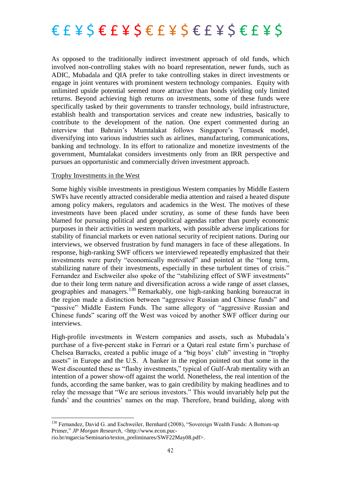As opposed to the traditionally indirect investment approach of old funds, which involved non-controlling stakes with no board representation, newer funds, such as ADIC, Mubadala and QIA prefer to take controlling stakes in direct investments or engage in joint ventures with prominent western technology companies. Equity with unlimited upside potential seemed more attractive than bonds yielding only limited returns. Beyond achieving high returns on investments, some of these funds were specifically tasked by their governments to transfer technology, build infrastructure, establish health and transportation services and create new industries, basically to contribute to the development of the nation. One expert commented during an interview that Bahrain's Mumtalakat follows Singapore's Temasek model, diversifying into various industries such as airlines, manufacturing, communications, banking and technology. In its effort to rationalize and monetize investments of the government, Mumtalakat considers investments only from an IRR perspective and pursues an opportunistic and commercially driven investment approach.

### Trophy Investments in the West

Some highly visible investments in prestigious Western companies by Middle Eastern SWFs have recently attracted considerable media attention and raised a heated dispute among policy makers, regulators and academics in the West. The motives of these investments have been placed under scrutiny, as some of these funds have been blamed for pursuing political and geopolitical agendas rather than purely economic purposes in their activities in western markets, with possible adverse implications for stability of financial markets or even national security of recipient nations. During our interviews, we observed frustration by fund managers in face of these allegations. In response, high-ranking SWF officers we interviewed repeatedly emphasized that their investments were purely "economically motivated" and pointed at the "long term, stabilizing nature of their investments, especially in these turbulent times of crisis." Fernandez and Eschweiler also spoke of the "stabilizing effect of SWF investments" due to their long term nature and diversification across a wide range of asset classes, geographies and managers.<sup>130</sup> Remarkably, one high-ranking banking bureaucrat in the region made a distinction between "aggressive Russian and Chinese funds" and "passive" Middle Eastern Funds. The same allegory of "aggressive Russian and Chinese funds" scaring off the West was voiced by another SWF officer during our interviews.

High-profile investments in Western companies and assets, such as Mubadala's purchase of a five-percent stake in Ferrari or a Qatari real estate firm's purchase of Chelsea Barracks, created a public image of a "big boys' club" investing in "trophy assets" in Europe and the U.S. A banker in the region pointed out that some in the West discounted these as "flashy investments," typical of Gulf-Arab mentality with an intention of a power show-off against the world. Nonetheless, the real intention of the funds, according the same banker, was to gain credibility by making headlines and to relay the message that "We are serious investors." This would invariably help put the funds' and the countries' names on the map. Therefore, brand building, along with

<sup>&</sup>lt;sup>130</sup> Fernandez, David G. and Eschweiler, Bernhard (2008), "Sovereign Wealth Funds: A Bottom-up Primer," *JP Morgan Research,* <http://www.econ.puc-

rio.br/mgarcia/Seminario/textos\_preliminares/SWF22May08.pdf>.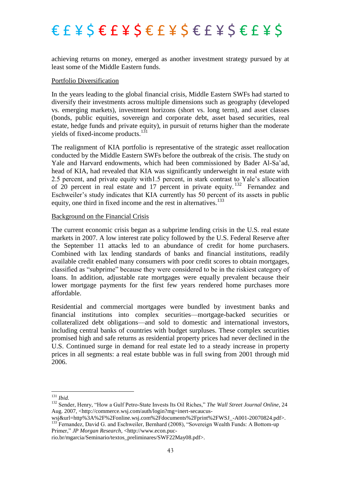achieving returns on money, emerged as another investment strategy pursued by at least some of the Middle Eastern funds.

#### Portfolio Diversification

In the years leading to the global financial crisis, Middle Eastern SWFs had started to diversify their investments across multiple dimensions such as geography (developed vs. emerging markets), investment horizons (short vs. long term), and asset classes (bonds, public equities, sovereign and corporate debt, asset based securities, real estate, hedge funds and private equity), in pursuit of returns higher than the moderate yields of fixed-income products. $131$ 

The realignment of KIA portfolio is representative of the strategic asset reallocation conducted by the Middle Eastern SWFs before the outbreak of the crisis. The study on Yale and Harvard endowments, which had been commissioned by Bader Al-Sa'ad, head of KIA, had revealed that KIA was significantly underweight in real estate with 2.5 percent, and private equity with1.5 percent, in stark contrast to Yale's allocation of 20 percent in real estate and 17 percent in private equity.<sup>132</sup> Fernandez and Eschweiler's study indicates that KIA currently has 50 percent of its assets in public equity, one third in fixed income and the rest in alternatives.<sup>133</sup>

#### Background on the Financial Crisis

The current economic crisis began as a subprime lending crisis in the U.S. real estate markets in 2007. A low interest rate policy followed by the U.S. Federal Reserve after the September 11 attacks led to an abundance of credit for home purchasers. Combined with lax lending standards of banks and financial institutions, readily available credit enabled many consumers with poor credit scores to obtain mortgages, classified as "subprime" because they were considered to be in the riskiest category of loans. In addition, adjustable rate mortgages were equally prevalent because their lower mortgage payments for the first few years rendered home purchases more affordable.

Residential and commercial mortgages were bundled by investment banks and financial institutions into complex securities—mortgage-backed securities or collateralized debt obligations—and sold to domestic and international investors, including central banks of countries with budget surpluses. These complex securities promised high and safe returns as residential property prices had never declined in the U.S. Continued surge in demand for real estate led to a steady increase in property prices in all segments: a real estate bubble was in full swing from 2001 through mid 2006.

**.** 

Primer," *JP Morgan Research, <http://www.econ.puc-*

<sup>131</sup> *Ibid.*

<sup>&</sup>lt;sup>132</sup> Sender, Henry, "How a Gulf Petro-State Invests Its Oil Riches," The Wall Street Journal Online, 24 Aug. 2007, <http://commerce.wsj.com/auth/login?mg=inert-secaucus-

wsj&url=http%3A%2F%2Fonline.wsj.com%2Fdocuments%2Fprint%2FWSJ\_-A001-20070824.pdf>. <sup>133</sup> Fernandez, David G. and Eschweiler, Bernhard (2008), "Sovereign Wealth Funds: A Bottom-up

rio.br/mgarcia/Seminario/textos\_preliminares/SWF22May08.pdf>.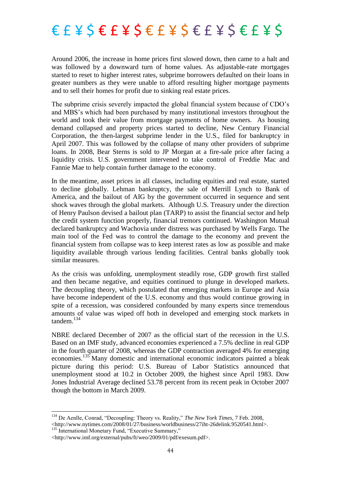Around 2006, the increase in home prices first slowed down, then came to a halt and was followed by a downward turn of home values. As adjustable-rate mortgages started to reset to higher interest rates, subprime borrowers defaulted on their loans in greater numbers as they were unable to afford resulting higher mortgage payments and to sell their homes for profit due to sinking real estate prices.

The subprime crisis severely impacted the global financial system because of CDO's and MBS's which had been purchased by many institutional investors throughout the world and took their value from mortgage payments of home owners. As housing demand collapsed and property prices started to decline, New Century Financial Corporation, the then-largest subprime lender in the U.S., filed for bankruptcy in April 2007. This was followed by the collapse of many other providers of subprime loans. In 2008, Bear Sterns is sold to JP Morgan at a fire-sale price after facing a liquidity crisis. U.S. government intervened to take control of Freddie Mac and Fannie Mae to help contain further damage to the economy.

In the meantime, asset prices in all classes, including equities and real estate, started to decline globally. Lehman bankruptcy, the sale of Merrill Lynch to Bank of America, and the bailout of AIG by the government occurred in sequence and sent shock waves through the global markets. Although U.S. Treasury under the direction of Henry Paulson devised a bailout plan (TARP) to assist the financial sector and help the credit system function properly, financial tremors continued. Washington Mutual declared bankruptcy and Wachovia under distress was purchased by Wells Fargo. The main tool of the Fed was to control the damage to the economy and prevent the financial system from collapse was to keep interest rates as low as possible and make liquidity available through various lending facilities. Central banks globally took similar measures.

As the crisis was unfolding, unemployment steadily rose, GDP growth first stalled and then became negative, and equities continued to plunge in developed markets. The decoupling theory, which postulated that emerging markets in Europe and Asia have become independent of the U.S. economy and thus would continue growing in spite of a recession, was considered confounded by many experts since tremendous amounts of value was wiped off both in developed and emerging stock markets in tandem.<sup>134</sup>

NBRE declared December of 2007 as the official start of the recession in the U.S. Based on an IMF study, advanced economies experienced a 7.5% decline in real GDP in the fourth quarter of 2008, whereas the GDP contraction averaged 4% for emerging economies.<sup>135</sup> Many domestic and international economic indicators painted a bleak picture during this period: U.S. Bureau of Labor Statistics announced that unemployment stood at 10.2 in October 2009, the highest since April 1983. Dow Jones Industrial Average declined 53.78 percent from its recent peak in October 2007 though the bottom in March 2009.

<sup>135</sup> International Monetary Fund, "Executive Summary,"

<sup>&</sup>lt;sup>134</sup> De Aenlle, Conrad, "Decoupling: Theory vs. Reality," *The New York Times*, 7 Feb. 2008, <http://www.nytimes.com/2008/01/27/business/worldbusiness/27iht-26delink.9520541.html>.

<sup>&</sup>lt;http://www.imf.org/external/pubs/ft/weo/2009/01/pdf/exesum.pdf>.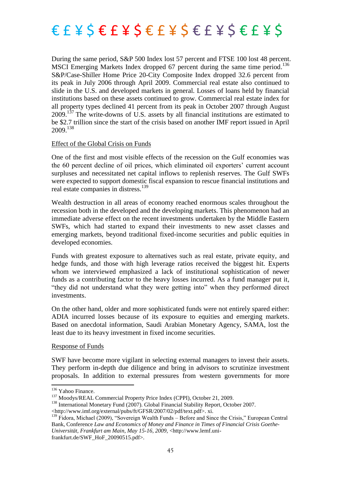

During the same period, S&P 500 Index lost 57 percent and FTSE 100 lost 48 percent. MSCI Emerging Markets Index dropped 67 percent during the same time period. 136 S&P/Case-Shiller Home Price 20-City Composite Index dropped 32.6 percent from its peak in July 2006 through April 2009. Commercial real estate also continued to slide in the U.S. and developed markets in general. Losses of loans held by financial institutions based on these assets continued to grow. Commercial real estate index for all property types declined 41 percent from its peak in October 2007 through August 2009.<sup>137</sup> The write-downs of U.S. assets by all financial institutions are estimated to be \$2.7 trillion since the start of the crisis based on another IMF report issued in April 2009.<sup>138</sup>

#### Effect of the Global Crisis on Funds

One of the first and most visible effects of the recession on the Gulf economies was the 60 percent decline of oil prices, which eliminated oil exporters' current account surpluses and necessitated net capital inflows to replenish reserves. The Gulf SWFs were expected to support domestic fiscal expansion to rescue financial institutions and real estate companies in distress.<sup>139</sup>

Wealth destruction in all areas of economy reached enormous scales throughout the recession both in the developed and the developing markets. This phenomenon had an immediate adverse effect on the recent investments undertaken by the Middle Eastern SWFs, which had started to expand their investments to new asset classes and emerging markets, beyond traditional fixed-income securities and public equities in developed economies.

Funds with greatest exposure to alternatives such as real estate, private equity, and hedge funds, and those with high leverage ratios received the biggest hit. Experts whom we interviewed emphasized a lack of institutional sophistication of newer funds as a contributing factor to the heavy losses incurred. As a fund manager put it, ―they did not understand what they were getting into‖ when they performed direct investments.

On the other hand, older and more sophisticated funds were not entirely spared either: ADIA incurred losses because of its exposure to equities and emerging markets. Based on anecdotal information, Saudi Arabian Monetary Agency, SAMA, lost the least due to its heavy investment in fixed income securities.

#### Response of Funds

SWF have become more vigilant in selecting external managers to invest their assets. They perform in-depth due diligence and bring in advisors to scrutinize investment proposals. In addition to external pressures from western governments for more

<sup>&</sup>lt;sup>136</sup> Yahoo Finance.

<sup>&</sup>lt;sup>137</sup> Moodys/REAL Commercial Property Price Index (CPPI), October 21, 2009.

<sup>&</sup>lt;sup>138</sup> International Monetary Fund (2007). Global Financial Stability Report, October 2007.

<sup>&</sup>lt;http://www.imf.org/external/pubs/ft/GFSR/2007/02/pdf/text.pdf>. xi.

<sup>&</sup>lt;sup>139</sup> Fidora, Michael (2009), "Sovereign Wealth Funds – Before and Since the Crisis," European Central Bank, Conference *Law and Economics of Money and Finance in Times of Financial Crisis Goethe-Universität, Frankfurt am Main, May 15-16, 2009,* <http://www.lemf.unifrankfurt.de/SWF\_HoF\_20090515.pdf>.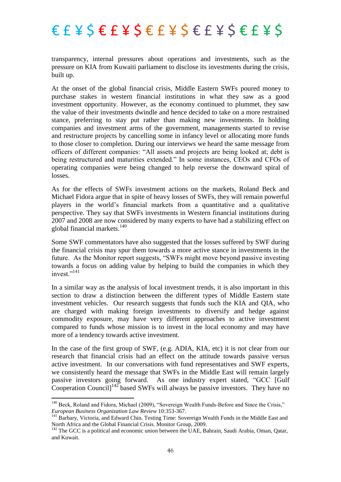transparency, internal pressures about operations and investments, such as the pressure on KIA from Kuwaiti parliament to disclose its investments during the crisis, built up.

At the onset of the global financial crisis, Middle Eastern SWFs poured money to purchase stakes in western financial institutions in what they saw as a good investment opportunity. However, as the economy continued to plummet, they saw the value of their investments dwindle and hence decided to take on a more restrained stance, preferring to stay put rather than making new investments. In holding companies and investment arms of the government, managements started to revise and restructure projects by cancelling some in infancy level or allocating more funds to those closer to completion. During our interviews we heard the same message from officers of different companies: "All assets and projects are being looked at; debt is being restructured and maturities extended." In some instances, CEOs and CFOs of operating companies were being changed to help reverse the downward spiral of losses.

As for the effects of SWFs investment actions on the markets, Roland Beck and Michael Fidora argue that in spite of heavy losses of SWFs, they will remain powerful players in the world's financial markets from a quantitative and a qualitative perspective. They say that SWFs investments in Western financial institutions during 2007 and 2008 are now considered by many experts to have had a stabilizing effect on global financial markets.<sup>140</sup>

Some SWF commentators have also suggested that the losses suffered by SWF during the financial crisis may spur them towards a more active stance in investments in the future. As the Monitor report suggests, "SWFs might move beyond passive investing towards a focus on adding value by helping to build the companies in which they invest<sup>"141</sup>

In a similar way as the analysis of local investment trends, it is also important in this section to draw a distinction between the different types of Middle Eastern state investment vehicles. Our research suggests that funds such the KIA and QIA, who are charged with making foreign investments to diversify and hedge against commodity exposure, may have very different approaches to active investment compared to funds whose mission is to invest in the local economy and may have more of a tendency towards active investment.

In the case of the first group of SWF, (e.g. ADIA, KIA, etc) it is not clear from our research that financial crisis had an effect on the attitude towards passive versus active investment. In our conversations with fund representatives and SWF experts, we consistently heard the message that SWFs in the Middle East will remain largely passive investors going forward. As one industry expert stated, "GCC [Gulf Cooperation Council] $142$  based SWFs will always be passive investors. They have no

<sup>&</sup>lt;sup>140</sup> Beck, Roland and Fidora, Michael (2009), "Sovereign Wealth Funds-Before and Since the Crisis," *European Business Organization Law Review* 10:353-367.

<sup>&</sup>lt;sup>141</sup> Barbary, Victoria, and Edward Chin. Testing Time: Sovereign Wealth Funds in the Middle East and North Africa and the Global Financial Crisis. Monitor Group, 2009.

<sup>&</sup>lt;sup>142</sup> The GCC is a political and economic union between the UAE, Bahrain, Saudi Arabia, Oman, Qatar, and Kuwait.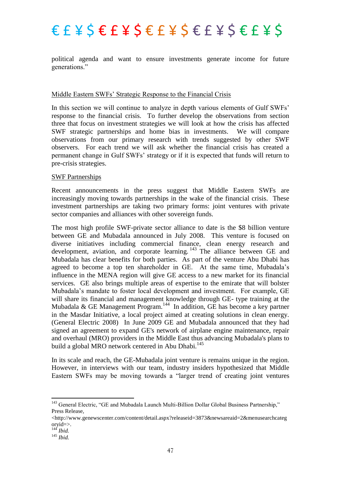political agenda and want to ensure investments generate income for future generations."

### Middle Eastern SWFs' Strategic Response to the Financial Crisis

In this section we will continue to analyze in depth various elements of Gulf SWFs' response to the financial crisis. To further develop the observations from section three that focus on investment strategies we will look at how the crisis has affected SWF strategic partnerships and home bias in investments. We will compare observations from our primary research with trends suggested by other SWF observers. For each trend we will ask whether the financial crisis has created a permanent change in Gulf SWFs' strategy or if it is expected that funds will return to pre-crisis strategies.

#### SWF Partnerships

Recent announcements in the press suggest that Middle Eastern SWFs are increasingly moving towards partnerships in the wake of the financial crisis. These investment partnerships are taking two primary forms: joint ventures with private sector companies and alliances with other sovereign funds.

The most high profile SWF-private sector alliance to date is the \$8 billion venture between GE and Mubadala announced in July 2008. This venture is focused on diverse initiatives including commercial finance, clean energy research and development, aviation, and corporate learning. <sup>143</sup> The alliance between GE and Mubadala has clear benefits for both parties. As part of the venture Abu Dhabi has agreed to become a top ten shareholder in GE. At the same time, Mubadala's influence in the MENA region will give GE access to a new market for its financial services. GE also brings multiple areas of expertise to the emirate that will bolster Mubadala's mandate to foster local development and investment. For example, GE will share its financial and management knowledge through GE- type training at the Mubadala & GE Management Program.<sup>144</sup> In addition, GE has become a key partner in the Masdar Initiative, a local project aimed at creating solutions in clean energy. (General Electric 2008) In June 2009 GE and Mubadala announced that they had signed an agreement to expand GE's network of airplane engine maintenance, repair and overhaul (MRO) providers in the Middle East thus advancing Mubadala's plans to build a global MRO network centered in Abu Dhabi.<sup>145</sup>

In its scale and reach, the GE-Mubadala joint venture is remains unique in the region. However, in interviews with our team, industry insiders hypothesized that Middle Eastern SWFs may be moving towards a "larger trend of creating joint ventures

<sup>143</sup> General Electric, "GE and Mubadala Launch Multi-Billion Dollar Global Business Partnership," Press Release,

<sup>&</sup>lt;http://www.genewscenter.com/content/detail.aspx?releaseid=3873&newsareaid=2&menusearchcateg oryid=>.

<sup>144</sup> *Ibid.*

<sup>145</sup> *Ibid.*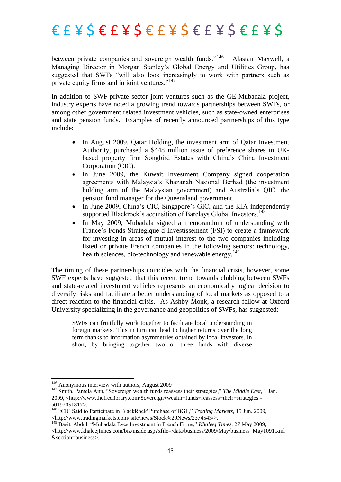between private companies and sovereign wealth funds."<sup>146</sup> Alastair Maxwell, a Managing Director in Morgan Stanley's Global Energy and Utilities Group, has suggested that SWFs "will also look increasingly to work with partners such as private equity firms and in joint ventures. $147$ 

In addition to SWF-private sector joint ventures such as the GE-Mubadala project, industry experts have noted a growing trend towards partnerships between SWFs, or among other government related investment vehicles, such as state-owned enterprises and state pension funds. Examples of recently announced partnerships of this type include:

- In August 2009, Qatar Holding, the investment arm of Qatar Investment Authority, purchased a \$448 million issue of preference shares in UKbased property firm Songbird Estates with China's China Investment Corporation (CIC).
- In June 2009, the Kuwait Investment Company signed cooperation agreements with Malaysia's Khazanah Nasional Berhad (the investment holding arm of the Malaysian government) and Australia's QIC, the pension fund manager for the Queensland government.
- In June 2009, China's CIC, Singapore's GIC, and the KIA independently supported Blackrock's acquisition of Barclays Global Investors.<sup>148</sup>
- In May 2009, Mubadala signed a memorandum of understanding with France's Fonds Strategique d'Investissement (FSI) to create a framework for investing in areas of mutual interest to the two companies including listed or private French companies in the following sectors: technology, health sciences, bio-technology and renewable energy.<sup>149</sup>

The timing of these partnerships coincides with the financial crisis, however, some SWF experts have suggested that this recent trend towards clubbing between SWFs and state-related investment vehicles represents an economically logical decision to diversify risks and facilitate a better understanding of local markets as opposed to a direct reaction to the financial crisis. As Ashby Monk, a research fellow at Oxford University specializing in the governance and geopolitics of SWFs, has suggested:

SWFs can fruitfully work together to facilitate local understanding in foreign markets. This in turn can lead to higher returns over the long term thanks to information asymmetries obtained by local investors. In short, by bringing together two or three funds with diverse

 $\overline{\phantom{a}}$ 

<sup>&</sup>lt;sup>146</sup> Anonymous interview with authors, August 2009

<sup>&</sup>lt;sup>147</sup> Smith, Pamela Ann, "Sovereign wealth funds reassess their strategies," The Middle East, 1 Jan. 2009, <http://www.thefreelibrary.com/Sovereign+wealth+funds+reassess+their+strategies. a0192051817>.

<sup>&</sup>lt;sup>148</sup> "CIC Said to Participate in BlackRock' Purchase of BGI," *Trading Markets*, 15 Jun. 2009, <http://www.tradingmarkets.com/.site/news/Stock%20News/2374543/>.

<sup>149</sup> Basit, Abdul, "Mubadala Eyes Investment in French Firms," *Khaleej Times*, 27 May 2009,  $\lt$ http://www.khaleejtimes.com/biz/inside.asp?xfile=/data/business/2009/May/business\_May1091.xml &section=business>.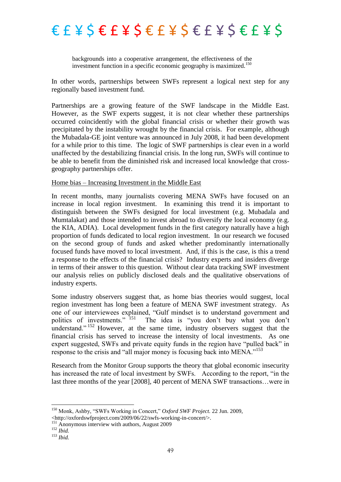backgrounds into a cooperative arrangement, the effectiveness of the investment function in a specific economic geography is maximized.<sup>150</sup>

In other words, partnerships between SWFs represent a logical next step for any regionally based investment fund.

Partnerships are a growing feature of the SWF landscape in the Middle East. However, as the SWF experts suggest, it is not clear whether these partnerships occurred coincidently with the global financial crisis or whether their growth was precipitated by the instability wrought by the financial crisis. For example, although the Mubadala-GE joint venture was announced in July 2008, it had been development for a while prior to this time. The logic of SWF partnerships is clear even in a world unaffected by the destabilizing financial crisis. In the long run, SWFs will continue to be able to benefit from the diminished risk and increased local knowledge that crossgeography partnerships offer.

#### Home bias – Increasing Investment in the Middle East

In recent months, many journalists covering MENA SWFs have focused on an increase in local region investment. In examining this trend it is important to distinguish between the SWFs designed for local investment (e.g. Mubadala and Mumtalakat) and those intended to invest abroad to diversify the local economy (e.g. the KIA, ADIA). Local development funds in the first category naturally have a high proportion of funds dedicated to local region investment. In our research we focused on the second group of funds and asked whether predominantly internationally focused funds have moved to local investment. And, if this is the case, is this a trend a response to the effects of the financial crisis? Industry experts and insiders diverge in terms of their answer to this question. Without clear data tracking SWF investment our analysis relies on publicly disclosed deals and the qualitative observations of industry experts.

Some industry observers suggest that, as home bias theories would suggest, local region investment has long been a feature of MENA SWF investment strategy. As one of our interviewees explained, "Gulf mindset is to understand government and politics of investments." <sup>151</sup> The idea is "you don't buy what you don't The idea is "you don't buy what you don't understand."  $152$  However, at the same time, industry observers suggest that the financial crisis has served to increase the intensity of local investments. As one expert suggested, SWFs and private equity funds in the region have "pulled back" in response to the crisis and "all major money is focusing back into MENA."<sup>153</sup>

Research from the Monitor Group supports the theory that global economic insecurity has increased the rate of local investment by SWFs. According to the report, "in the last three months of the year [2008], 40 percent of MENA SWF transactions…were in

<sup>&</sup>lt;sup>150</sup> Monk, Ashby, "SWFs Working in Concert," Oxford SWF Project. 22 Jun. 2009,

<sup>&</sup>lt;http://oxfordswfproject.com/2009/06/22/swfs-working-in-concert/>.

<sup>&</sup>lt;sup>151</sup> Anonymous interview with authors, August 2009

<sup>152</sup> *Ibid.*

<sup>153</sup> *Ibid.*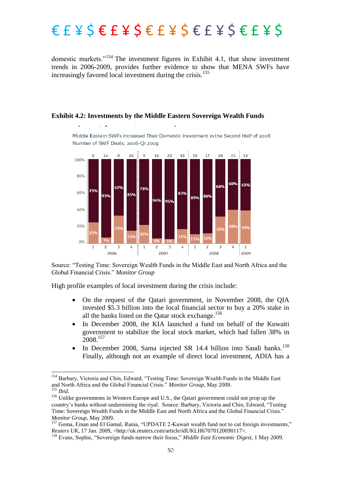domestic markets."<sup>154</sup> The investment figures in Exhibit 4.1, that show investment trends in 2006-2009, provides further evidence to show that MENA SWFs have increasingly favored local investment during the crisis.<sup>155</sup>

Middle Eastern SWFs Increased Their Domestic Investment in the Second Half of 2008



**Exhibit 4.2: Investments by the Middle Eastern Sovereign Wealth Funds**

Source: "Testing Time: Sovereign Wealth Funds in the Middle East and North Africa and the Global Financial Crisis.‖ *Monitor Group*

High profile examples of local investment during the crisis include:

**.** 

 $\overline{1}$ 

- On the request of the Qatari government, in November 2008, the QIA invested \$5.3 billion into the local financial sector to buy a 20% stake in all the banks listed on the Qatar stock exchange.<sup>156</sup>
- In December 2008, the KIA launched a fund on behalf of the Kuwaiti government to stabilize the local stock market, which had fallen 38% in 2008.<sup>157</sup>
- $\bullet$  In December 2008, Sama injected SR 14.4 billion into Saudi banks.<sup>158</sup> Finally, although not an example of direct local investment, ADIA has a

<sup>154</sup> Barbary, Victoria and Chin, Edward, "Testing Time: Sovereign Wealth Funds in the Middle East and North Africa and the Global Financial Crisis." Monitor Group, May 2009. <sup>155</sup> *Ibid.*

<sup>&</sup>lt;sup>156</sup> Unlike governments in Western Europe and U.S., the Qatari government could not prop up the country's banks without undermining the rival. Source: Barbary, Victoria and Chin, Edward, "Testing Time: Sovereign Wealth Funds in the Middle East and North Africa and the Global Financial Crisis.‖ *Monitor Group*, May 2009.

<sup>157</sup> Goma, Eman and El Gamal, Rania, "UPDATE 2-Kuwait wealth fund not to cut foreign investments," *Reuters UK*, 17 Jan. 2009, <http://uk.reuters.com/article/idUKLH67070120090117>.

<sup>&</sup>lt;sup>158</sup> Evans, Sophie, "Sovereign funds narrow their focus," *Middle East Economic Digest*, 1 May 2009.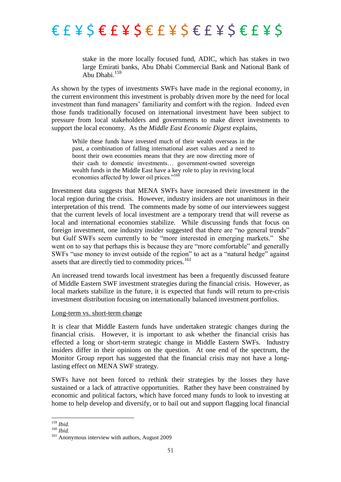

stake in the more locally focused fund, ADIC, which has stakes in two large Emirati banks, Abu Dhabi Commercial Bank and National Bank of Abu Dhabi.<sup>159</sup>

As shown by the types of investments SWFs have made in the regional economy, in the current environment this investment is probably driven more by the need for local investment than fund managers' familiarity and comfort with the region. Indeed even those funds traditionally focused on international investment have been subject to pressure from local stakeholders and governments to make direct investments to support the local economy. As the *Middle East Economic Digest* explains,

While these funds have invested much of their wealth overseas in the past, a combination of falling international asset values and a need to boost their own economies means that they are now directing more of their cash to domestic investments… government-owned sovereign wealth funds in the Middle East have a key role to play in reviving local economies affected by lower oil prices."<sup>160</sup>

Investment data suggests that MENA SWFs have increased their investment in the local region during the crisis. However, industry insiders are not unanimous in their interpretation of this trend. The comments made by some of our interviewees suggest that the current levels of local investment are a temporary trend that will reverse as local and international economies stabilize. While discussing funds that focus on foreign investment, one industry insider suggested that there are "no general trends" but Gulf SWFs seem currently to be "more interested in emerging markets." She went on to say that perhaps this is because they are "more comfortable" and generally SWFs "use money to invest outside of the region" to act as a "natural hedge" against assets that are directly tied to commodity prices.<sup>161</sup>

An increased trend towards local investment has been a frequently discussed feature of Middle Eastern SWF investment strategies during the financial crisis. However, as local markets stabilize in the future, it is expected that funds will return to pre-crisis investment distribution focusing on internationally balanced investment portfolios.

#### Long-term vs. short-term change

It is clear that Middle Eastern funds have undertaken strategic changes during the financial crisis. However, it is important to ask whether the financial crisis has effected a long or short-term strategic change in Middle Eastern SWFs. Industry insiders differ in their opinions on the question. At one end of the spectrum, the Monitor Group report has suggested that the financial crisis may not have a longlasting effect on MENA SWF strategy.

SWFs have not been forced to rethink their strategies by the losses they have sustained or a lack of attractive opportunities. Rather they have been constrained by economic and political factors, which have forced many funds to look to investing at home to help develop and diversify, or to bail out and support flagging local financial

<sup>159</sup> *Ibid.*

<sup>160</sup> *Ibid.*

<sup>&</sup>lt;sup>161</sup> Anonymous interview with authors, August 2009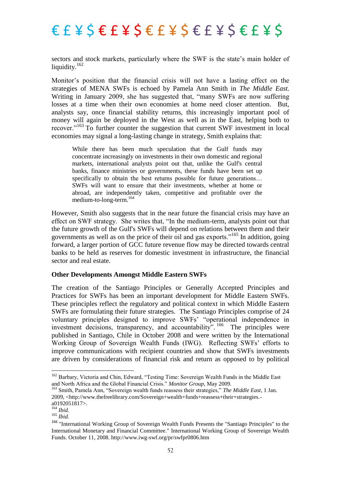sectors and stock markets, particularly where the SWF is the state's main holder of liquidity.<sup>162</sup>

Monitor's position that the financial crisis will not have a lasting effect on the strategies of MENA SWFs is echoed by Pamela Ann Smith in *The Middle East.* Writing in January 2009, she has suggested that, "many SWFs are now suffering losses at a time when their own economies at home need closer attention. But, analysts say, once financial stability returns, this increasingly important pool of money will again be deployed in the West as well as in the East, helping both to recover."<sup>163</sup> To further counter the suggestion that current SWF investment in local economies may signal a long-lasting change in strategy, Smith explains that:

While there has been much speculation that the Gulf funds may concentrate increasingly on investments in their own domestic and regional markets, international analysts point out that, unlike the Gulf's central banks, finance ministries or governments, these funds have been set up specifically to obtain the best returns possible for future generations... SWFs will want to ensure that their investments, whether at home or abroad, are independently taken, competitive and profitable over the medium-to-long-term.<sup>164</sup>

However, Smith also suggests that in the near future the financial crisis may have an effect on SWF strategy. She writes that, "In the medium-term, analysts point out that the future growth of the Gulf's SWFs will depend on relations between them and their governments as well as on the price of their oil and gas exports."<sup>165</sup> In addition, going forward, a larger portion of GCC future revenue flow may be directed towards central banks to be held as reserves for domestic investment in infrastructure, the financial sector and real estate.

#### **Other Developments Amongst Middle Eastern SWFs**

The creation of the Santiago Principles or Generally Accepted Principles and Practices for SWFs has been an important development for Middle Eastern SWFs. These principles reflect the regulatory and political context in which Middle Eastern SWFs are formulating their future strategies. The Santiago Principles comprise of 24 voluntary principles designed to improve SWFs' "operational independence in investment decisions, transparency, and accountability". <sup>166</sup> The principles were published in Santiago, Chile in October 2008 and were written by the International Working Group of Sovereign Wealth Funds (IWG). Reflecting SWFs' efforts to improve communications with recipient countries and show that SWFs investments are driven by considerations of financial risk and return as opposed to by political

<sup>162</sup> Barbary, Victoria and Chin, Edward, "Testing Time: Sovereign Wealth Funds in the Middle East and North Africa and the Global Financial Crisis." *Monitor Group*, May 2009.

<sup>&</sup>lt;sup>163</sup> Smith, Pamela Ann, "Sovereign wealth funds reassess their strategies," The Middle East, 1 Jan. 2009, <http://www.thefreelibrary.com/Sovereign+wealth+funds+reassess+their+strategies. a0192051817>.

<sup>164</sup> *Ibid.*

<sup>165</sup> *Ibid.*

<sup>166</sup> "International Working Group of Sovereign Wealth Funds Presents the "Santiago Principles" to the International Monetary and Financial Committee." International Working Group of Sovereign Wealth Funds. October 11, 2008. http://www.iwg-swf.org/pr/swfpr0806.htm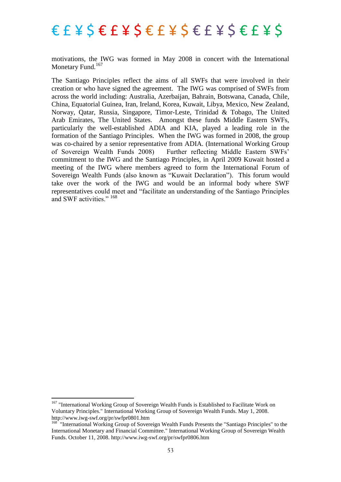motivations, the IWG was formed in May 2008 in concert with the International Monetary Fund.<sup>167</sup>

The Santiago Principles reflect the aims of all SWFs that were involved in their creation or who have signed the agreement. The IWG was comprised of SWFs from across the world including: Australia, Azerbaijan, Bahrain, Botswana, Canada, Chile, China, Equatorial Guinea, Iran, Ireland, Korea, Kuwait, Libya, Mexico, New Zealand, Norway, Qatar, Russia, Singapore, Timor-Leste, Trinidad & Tobago, The United Arab Emirates, The United States. Amongst these funds Middle Eastern SWFs, particularly the well-established ADIA and KIA, played a leading role in the formation of the Santiago Principles. When the IWG was formed in 2008, the group was co-chaired by a senior representative from ADIA. (International Working Group of Sovereign Wealth Funds 2008) Further reflecting Middle Eastern SWFs' commitment to the IWG and the Santiago Principles, in April 2009 Kuwait hosted a meeting of the IWG where members agreed to form the International Forum of Sovereign Wealth Funds (also known as "Kuwait Declaration"). This forum would take over the work of the IWG and would be an informal body where SWF representatives could meet and "facilitate an understanding of the Santiago Principles and SWF activities."<sup>168</sup>

<sup>&</sup>lt;sup>167</sup> "International Working Group of Sovereign Wealth Funds is Established to Facilitate Work on Voluntary Principles." International Working Group of Sovereign Wealth Funds. May 1, 2008. http://www.iwg-swf.org/pr/swfpr0801.htm

<sup>&</sup>lt;sup>168</sup> "International Working Group of Sovereign Wealth Funds Presents the "Santiago Principles" to the International Monetary and Financial Committee." International Working Group of Sovereign Wealth Funds. October 11, 2008. http://www.iwg-swf.org/pr/swfpr0806.htm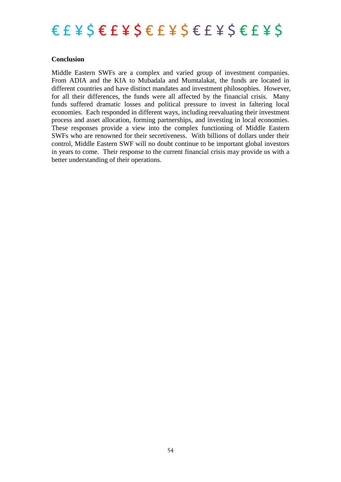

### **Conclusion**

Middle Eastern SWFs are a complex and varied group of investment companies. From ADIA and the KIA to Mubadala and Mumtalakat, the funds are located in different countries and have distinct mandates and investment philosophies. However, for all their differences, the funds were all affected by the financial crisis. Many funds suffered dramatic losses and political pressure to invest in faltering local economies. Each responded in different ways, including reevaluating their investment process and asset allocation, forming partnerships, and investing in local economies. These responses provide a view into the complex functioning of Middle Eastern SWFs who are renowned for their secretiveness. With billions of dollars under their control, Middle Eastern SWF will no doubt continue to be important global investors in years to come. Their response to the current financial crisis may provide us with a better understanding of their operations.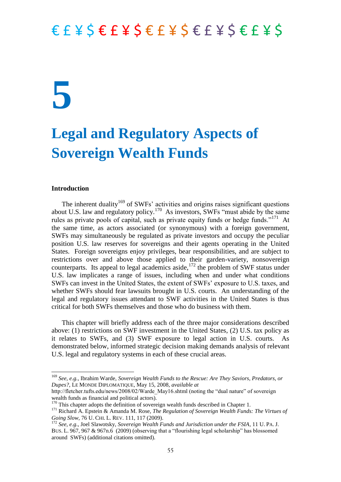## **5**

### **Legal and Regulatory Aspects of Sovereign Wealth Funds**

#### **Introduction**

**.** 

The inherent duality<sup>169</sup> of SWFs' activities and origins raises significant questions about U.S. law and regulatory policy.<sup>170</sup> As investors, SWFs "must abide by the same rules as private pools of capital, such as private equity funds or hedge funds."<sup>171</sup> At the same time, as actors associated (or synonymous) with a foreign government, SWFs may simultaneously be regulated as private investors and occupy the peculiar position U.S. law reserves for sovereigns and their agents operating in the United States. Foreign sovereigns enjoy privileges, bear responsibilities, and are subject to restrictions over and above those applied to their garden-variety, nonsovereign counterparts. Its appeal to legal academics aside, $172$  the problem of SWF status under U.S. law implicates a range of issues, including when and under what conditions SWFs can invest in the United States, the extent of SWFs' exposure to U.S. taxes, and whether SWFs should fear lawsuits brought in U.S. courts. An understanding of the legal and regulatory issues attendant to SWF activities in the United States is thus critical for both SWFs themselves and those who do business with them.

This chapter will briefly address each of the three major considerations described above: (1) restrictions on SWF investment in the United States, (2) U.S. tax policy as it relates to SWFs, and (3) SWF exposure to legal action in U.S. courts. As demonstrated below, informed strategic decision making demands analysis of relevant U.S. legal and regulatory systems in each of these crucial areas.

<sup>169</sup> *See, e.g.*, Ibrahim Warde, *Sovereign Wealth Funds to the Rescue: Are They Saviors, Predators, or Dupes?*, LE MONDE DIPLOMATIQUE, May 15, 2008, *available at*

http://fletcher.tufts.edu/news/2008/02/Warde\_May16.shtml (noting the "dual nature" of sovereign wealth funds as financial and political actors).

<sup>&</sup>lt;sup>170</sup> This chapter adopts the definition of sovereign wealth funds described in Chapter 1.

<sup>171</sup> Richard A. Epstein & Amanda M. Rose, *The Regulation of Sovereign Wealth Funds: The Virtues of Going Slow*, 76 U. CHI. L. REV. 111, 117 (2009).

<sup>172</sup> *See, e.g*., Joel Slawotsky, *Sovereign Wealth Funds and Jurisdiction under the FSIA*, 11 U. PA. J. BUS. L. 967, 967 & 967n.6 (2009) (observing that a "flourishing legal scholarship" has blossomed around SWFs) (additional citations omitted).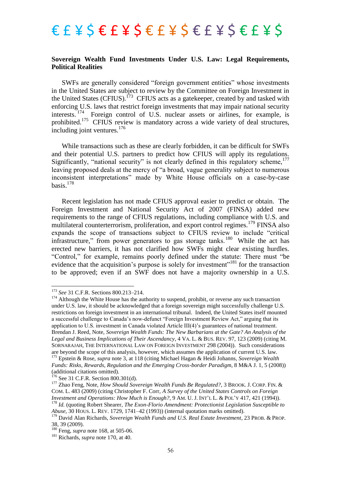#### **Sovereign Wealth Fund Investments Under U.S. Law: Legal Requirements, Political Realities**

SWFs are generally considered "foreign government entities" whose investments in the United States are subject to review by the Committee on Foreign Investment in the United States (CFIUS).<sup>173</sup> CFIUS acts as a gatekeeper, created by and tasked with enforcing U.S. laws that restrict foreign investments that may impair national security interests. <sup>174</sup> Foreign control of U.S. nuclear assets or airlines, for example, is prohibited.<sup>175</sup> CFIUS review is mandatory across a wide variety of deal structures, including joint ventures.<sup>176</sup>

While transactions such as these are clearly forbidden, it can be difficult for SWFs and their potential U.S. partners to predict how CFIUS will apply its regulations. Significantly, "national security" is not clearly defined in this regulatory scheme,  $177$ leaving proposed deals at the mercy of "a broad, vague generality subject to numerous inconsistent interpretations" made by White House officials on a case-by-case basis. $178$ 

Recent legislation has not made CFIUS approval easier to predict or obtain. The Foreign Investment and National Security Act of 2007 (FINSA) added new requirements to the range of CFIUS regulations, including compliance with U.S. and multilateral counterterrorism, proliferation, and export control regimes.<sup>179</sup> FINSA also expands the scope of transactions subject to CFIUS review to include "critical" infrastructure," from power generators to gas storage tanks.<sup>180</sup> While the act has erected new barriers, it has not clarified how SWFs might clear existing hurdles. "Control," for example, remains poorly defined under the statute: There must "be evidence that the acquisition's purpose is solely for investment<sup> $181$ </sup> for the transaction to be approved; even if an SWF does not have a majority ownership in a U.S.

**.** 

*Abuse*, 30 HOUS. L. REV. 1729, 1741–42 (1993)) (internal quotation marks omitted).

<sup>173</sup> *See* 31 C.F.R. Sections 800.213–214.

<sup>&</sup>lt;sup>174</sup> Although the White House has the authority to suspend, prohibit, or reverse any such transaction under U.S. law, it should be acknowledged that a foreign sovereign might successfully challenge U.S. restrictions on foreign investment in an international tribunal. Indeed, the United States itself mounted a successful challenge to Canada's now-defunct "Foreign Investment Review Act," arguing that its application to U.S. investment in Canada violated Article III(4)'s guarantees of national treatment. Brendan J. Reed, Note, *Sovereign Wealth Funds: The New Barbarians at the Gate? An Analysis of the Legal and Business Implications of Their Ascendancy*, 4 VA. L. & BUS. REV. 97, 123 (2009) (citing M. SORNARAJAH, THE INTERNATIONAL LAW ON FOREIGN INVESTMENT 298 (2004)). Such considerations are beyond the scope of this analysis, however, which assumes the application of current U.S. law. <sup>175</sup> Epstein & Rose, *supra* note 3, at 118 (citing Michael Hagan & Heidi Johanns, *Sovereign Wealth Funds: Risks, Rewards, Regulation and the Emerging Cross-border Paradigm*, 8 M&A J. 1, 5 (2008)) (additional citations omitted).

 $176$  See 31 C.F.R. Section 800.301(d).

<sup>177</sup> Zhao Feng, Note, *How Should Sovereign Wealth Funds Be Regulated?*, 3 BROOK. J. CORP. FIN. & COM. L. 483 (2009) (citing Christopher F. Corr, *A Survey of the United States Controls on Foreign Investment and Operations: How Much is Enough?*, 9 AM. U. J. INT'L L. & POL'Y 417, 421 (1994)). <sup>178</sup> *Id.* (quoting Robert Shearer, *The Exon-Florio Amendment: Protectionist Legislation Susceptible to* 

<sup>179</sup> David Alan Richards, *Sovereign Wealth Funds and U.S. Real Estate Investment*, 23 PROB. & PROP. 38, 39 (2009).

<sup>180</sup> Feng, *supra* note 168, at 505-06.

<sup>181</sup> Richards, *supra* note 170, at 40.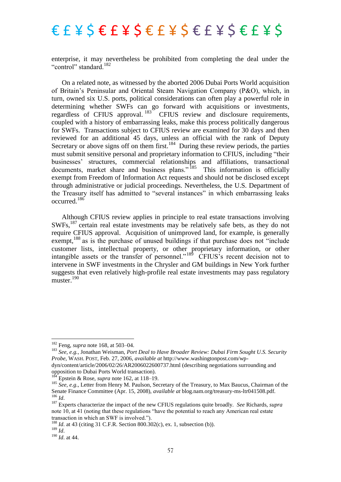enterprise, it may nevertheless be prohibited from completing the deal under the "control" standard.<sup>182</sup>

On a related note, as witnessed by the aborted 2006 Dubai Ports World acquisition of Britain's Peninsular and Oriental Steam Navigation Company (P&O), which, in turn, owned six U.S. ports, political considerations can often play a powerful role in determining whether SWFs can go forward with acquisitions or investments, regardless of CFIUS approval.<sup>183</sup> CFIUS review and disclosure requirements, coupled with a history of embarrassing leaks, make this process politically dangerous for SWFs. Transactions subject to CFIUS review are examined for 30 days and then reviewed for an additional 45 days, unless an official with the rank of Deputy Secretary or above signs off on them first.<sup>184</sup> During these review periods, the parties must submit sensitive personal and proprietary information to CFIUS, including "their businesses' structures, commercial relationships and affiliations, transactional documents, market share and business plans."<sup>185</sup> This information is officially exempt from Freedom of Information Act requests and should not be disclosed except through administrative or judicial proceedings. Nevertheless, the U.S. Department of the Treasury itself has admitted to "several instances" in which embarrassing leaks occurred.<sup>186</sup>

Although CFIUS review applies in principle to real estate transactions involving SWFs,<sup>187</sup> certain real estate investments may be relatively safe bets, as they do not require CFIUS approval. Acquisition of unimproved land, for example, is generally exempt, $^{188}$  as is the purchase of unused buildings if that purchase does not "include" customer lists, intellectual property, or other proprietary information, or other intangible assets or the transfer of personnel."<sup>189</sup> CFIUS's recent decision not to intervene in SWF investments in the Chrysler and GM buildings in New York further suggests that even relatively high-profile real estate investments may pass regulatory  $muster$ <sup>190</sup>

<sup>182</sup> Feng, *supra* note 168, at 503–04.

<sup>183</sup> *See, e.g.*, Jonathan Weisman, *Port Deal to Have Broader Review: Dubai Firm Sought U.S. Security Probe*, WASH. POST, Feb. 27, 2006, *available at* http://www.washingtonpost.com/wpdyn/content/article/2006/02/26/AR2006022600737.html (describing negotiations surrounding and

opposition to Dubai Ports World transaction).

<sup>&</sup>lt;sup>184</sup> Epstein & Rose, *supra* note 162, at 118–19.

<sup>&</sup>lt;sup>185</sup> See, e.g., Letter from Henry M. Paulson, Secretary of the Treasury, to Max Baucus, Chairman of the Senate Finance Committee (Apr. 15, 2008), *available at* blog.nam.org/treasury-ms-ltr041508.pdf*.* <sup>186</sup> *Id*.

<sup>187</sup> Experts characterize the impact of the new CFIUS regulations quite broadly. *See* Richards, *supra*  note 10, at 41 (noting that these regulations "have the potential to reach any American real estate" transaction in which an SWF is involved.").

<sup>188</sup> *Id*. at 43 (citing 31 C.F.R. Section 800.302(c), ex. 1, subsection (b)).

 $189 \frac{100}{1}$ 

<sup>190</sup> *Id*. at 44.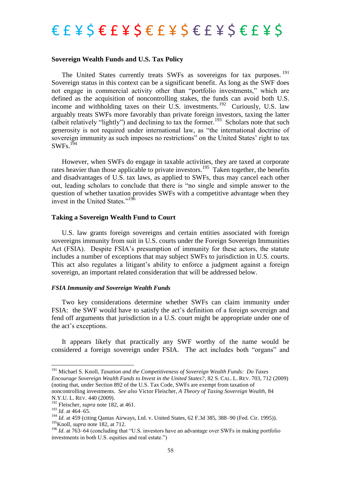#### **Sovereign Wealth Funds and U.S. Tax Policy**

The United States currently treats SWFs as sovereigns for tax purposes.<sup>191</sup> Sovereign status in this context can be a significant benefit. As long as the SWF does not engage in commercial activity other than "portfolio investments," which are defined as the acquisition of noncontrolling stakes, the funds can avoid both U.S. income and withholding taxes on their U.S. investments.<sup>192</sup> Curiously, U.S. law arguably treats SWFs more favorably than private foreign investors, taxing the latter (albeit relatively "lightly") and declining to tax the former.<sup>193</sup> Scholars note that such generosity is not required under international law, as "the international doctrine of sovereign immunity as such imposes no restrictions" on the United States' right to tax  $SWFs.$ <sup>194</sup>

However, when SWFs do engage in taxable activities, they are taxed at corporate rates heavier than those applicable to private investors.<sup>195</sup> Taken together, the benefits and disadvantages of U.S. tax laws, as applied to SWFs, thus may cancel each other out, leading scholars to conclude that there is "no single and simple answer to the question of whether taxation provides SWFs with a competitive advantage when they invest in the United States<sup>",196</sup>

#### **Taking a Sovereign Wealth Fund to Court**

U.S. law grants foreign sovereigns and certain entities associated with foreign sovereigns immunity from suit in U.S. courts under the Foreign Sovereign Immunities Act (FSIA). Despite FSIA's presumption of immunity for these actors, the statute includes a number of exceptions that may subject SWFs to jurisdiction in U.S. courts. This act also regulates a litigant's ability to enforce a judgment against a foreign sovereign, an important related consideration that will be addressed below.

#### *FSIA Immunity and Sovereign Wealth Funds*

Two key considerations determine whether SWFs can claim immunity under FSIA: the SWF would have to satisfy the act's definition of a foreign sovereign and fend off arguments that jurisdiction in a U.S. court might be appropriate under one of the act's exceptions.

It appears likely that practically any SWF worthy of the name would be considered a foreign sovereign under FSIA. The act includes both "organs" and

<sup>191</sup> Michael S. Knoll, *Taxation and the Competitiveness of Sovereign Wealth Funds: Do Taxes Encourage Sovereign Wealth Funds to Invest in the United States?*, 82 S. CAL. L. REV. 703, 712 (2009) (noting that, under Section 892 of the U.S. Tax Code, SWFs are exempt from taxation of

noncontrolling investments. *See also* Victor Fleischer, *A Theory of Taxing Sovereign Wealth*, 84 N.Y.U. L. REV. 440 (2009).

<sup>192</sup> Fleischer, *supra* note 182, at 461.

<sup>193</sup> *Id*. at 464–65.

<sup>&</sup>lt;sup>194</sup> *Id.* at 459 (citing Oantas Airways, Ltd. v. United States, 62 F.3d 385, 388–90 (Fed. Cir. 1995)). <sup>195</sup>Knoll, *supra* note 182, at 712.

 $196$  *Id.* at 763–64 (concluding that "U.S. investors have an advantage over SWFs in making portfolio investments in both U.S. equities and real estate.")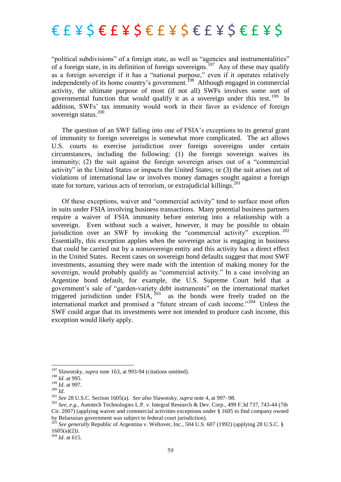"political subdivisions" of a foreign state, as well as "agencies and instrumentalities" of a foreign state, in its definition of foreign sovereigns.<sup>197</sup> Any of these may qualify as a foreign sovereign if it has a "national purpose," even if it operates relatively independently of its home country's government.<sup>198</sup> Although engaged in commercial activity, the ultimate purpose of most (if not all) SWFs involves some sort of governmental function that would qualify it as a sovereign under this test.<sup>199</sup> In addition, SWFs' tax immunity would work in their favor as evidence of foreign sovereign status.<sup>200</sup>

The question of an SWF falling into one of FSIA's exceptions to its general grant of immunity to foreign sovereigns is somewhat more complicated. The act allows U.S. courts to exercise jurisdiction over foreign sovereigns under certain circumstances, including the following: (1) the foreign sovereign waives its immunity; (2) the suit against the foreign sovereign arises out of a "commercial" activity" in the United States or impacts the United States; or (3) the suit arises out of violations of international law or involves money damages sought against a foreign state for torture, various acts of terrorism, or extrajudicial killings.<sup>201</sup>

Of these exceptions, waiver and "commercial activity" tend to surface most often in suits under FSIA involving business transactions. Many potential business partners require a waiver of FSIA immunity before entering into a relationship with a sovereign. Even without such a waiver, however, it may be possible to obtain jurisdiction over an SWF by invoking the "commercial activity" exception.  $202$ Essentially, this exception applies when the sovereign actor is engaging in business that could be carried out by a nonsovereign entity and this activity has a direct effect in the United States. Recent cases on sovereign bond defaults suggest that most SWF investments, assuming they were made with the intention of making money for the sovereign, would probably qualify as "commercial activity." In a case involving an Argentine bond default, for example, the U.S. Supreme Court held that a government's sale of "garden-variety debt instruments" on the international market triggered jurisdiction under FSIA,  $2^{03}$  as the bonds were freely traded on the international market and promised a "future stream of cash income."<sup>204</sup> Unless the SWF could argue that its investments were not intended to produce cash income, this exception would likely apply.

<sup>&</sup>lt;sup>197</sup> Slawotsky, *supra* note 163, at 993-94 (citations omitted).

<sup>198</sup> *Id*. at 995.

<sup>199</sup> *Id*. at 997.

<sup>200</sup> *Id*.

<sup>201</sup> *See* 28 U.S.C. Section 1605(a). *See also* Slawotsky, *supra* note 4, at 997–98.

<sup>202</sup> *See, e.g.,* Autotech Technologies L.P. v. Integral Research & Dev. Corp., 499 F.3d 737, 743-44 (7th  $Cir. 2007$  (applying waiver and commercial activities exceptions under  $\frac{1}{2}$  1605 to find company owned by Belarusian government was subject to federal court jurisdiction).

<sup>203</sup> *See generally* Republic of Argentina v. Weltover, Inc., 504 U.S. 607 (1992) (applying 28 U.S.C. §  $1605(a)(2)$ ).

 $^{204}$  *Id.* at 615.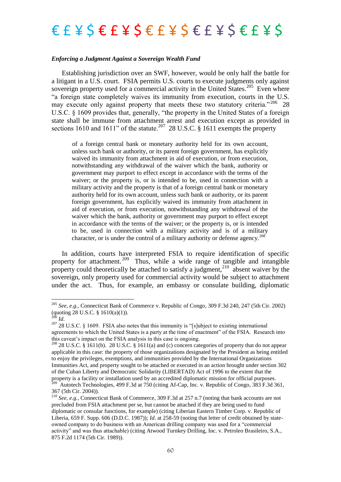#### *Enforcing a Judgment Against a Sovereign Wealth Fund*

Establishing jurisdiction over an SWF, however, would be only half the battle for a litigant in a U.S. court. FSIA permits U.S. courts to execute judgments only against sovereign property used for a commercial activity in the United States.<sup>205</sup> Even where ―a foreign state completely waives its immunity from execution, courts in the U.S. may execute only against property that meets these two statutory criteria."<sup>206</sup> 28 U.S.C. § 1609 provides that, generally, "the property in the United States of a foreign state shall be immune from attachment arrest and execution except as provided in sections 1610 and 1611" of the statute.<sup>207</sup> 28 U.S.C. § 1611 exempts the property

of a foreign central bank or monetary authority held for its own account, unless such bank or authority, or its parent foreign government, has explicitly waived its immunity from attachment in aid of execution, or from execution, notwithstanding any withdrawal of the waiver which the bank, authority or government may purport to effect except in accordance with the terms of the waiver; or the property is, or is intended to be, used in connection with a military activity and the property is that of a foreign central bank or monetary authority held for its own account, unless such bank or authority, or its parent foreign government, has explicitly waived its immunity from attachment in aid of execution, or from execution, notwithstanding any withdrawal of the waiver which the bank, authority or government may purport to effect except in accordance with the terms of the waiver; or the property is, or is intended to be, used in connection with a military activity and is of a military character, or is under the control of a military authority or defense agency.<sup>208</sup>

In addition, courts have interpreted FSIA to require identification of specific property for attachment.<sup>209</sup> Thus, while a wide range of tangible and intangible property could theoretically be attached to satisfy a judgment,  $2^{10}$  absent waiver by the sovereign, only property used for commercial activity would be subject to attachment under the act. Thus, for example, an embassy or consulate building, diplomatic

<sup>205</sup> *See, e.g.,* Connecticut Bank of Commerce v. Republic of Congo, 309 F.3d 240, 247 (5th Cir. 2002) (quoting 28 U.S.C. § 1610(a)(1)).

 $^{206}$  *Id.* 

 $207$  28 U.S.C. § 1609. FSIA also notes that this immunity is "[s]ubject to existing international agreements to which the United States is a party at the time of enactment" of the FSIA. Research into this caveat's impact on the FSIA analysis in this case is ongoing.

<sup>208</sup> 28 U.S.C. § 1611(b). 28 U.S.C. § 1611(a) and (c) concern categories of property that do not appear applicable in this case: the property of those organizations designated by the President as being entitled to enjoy the privileges, exemptions, and immunities provided by the International Organizations Immunities Act, and property sought to be attached or executed in an action brought under section 302 of the Cuban Liberty and Democratic Solidarity (LIBERTAD) Act of 1996 to the extent that the property is a facility or installation used by an accredited diplomatic mission for official purposes.<br><sup>209</sup> Autotech Technologies, 499 F.3d at 750 (citing Af-Cap, Inc. v. Republic of Congo, 383 F.3d 361, 367 (5th Cir. 2004)).

<sup>210</sup> *See, e.g.,* Connecticut Bank of Commerce, 309 F.3d at 257 n.7 (noting that bank accounts are not precluded from FSIA attachment per se, but cannot be attached if they are being used to fund diplomatic or consular functions, for example) (citing Liberian Eastern Timber Corp. v. Republic of Liberia, 659 F. Supp. 606 (D.D.C. 1987)); *Id*. at 258-59 (noting that letter of credit obtained by stateowned company to do business with an American drilling company was used for a "commercial" activity" and was thus attachable) (citing Atwood Turnkey Drilling, Inc. v. Petroleo Brasileiro, S.A., 875 F.2d 1174 (5th Cir. 1989)).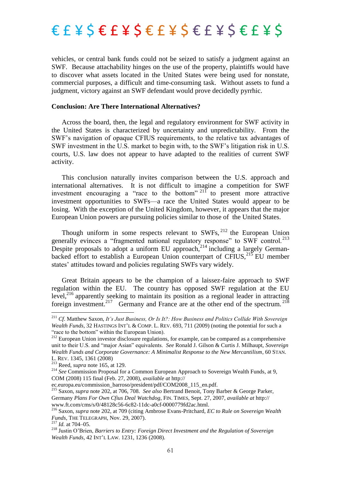vehicles, or central bank funds could not be seized to satisfy a judgment against an SWF. Because attachability hinges on the use of the property, plaintiffs would have to discover what assets located in the United States were being used for nonstate, commercial purposes, a difficult and time-consuming task. Without assets to fund a judgment, victory against an SWF defendant would prove decidedly pyrrhic.

#### **Conclusion: Are There International Alternatives?**

Across the board, then, the legal and regulatory environment for SWF activity in the United States is characterized by uncertainty and unpredictability. From the SWF's navigation of opaque CFIUS requirements, to the relative tax advantages of SWF investment in the U.S. market to begin with, to the SWF's litigation risk in U.S. courts, U.S. law does not appear to have adapted to the realities of current SWF activity.

This conclusion naturally invites comparison between the U.S. approach and international alternatives. It is not difficult to imagine a competition for SWF investment encouraging a "race to the bottom"  $^{211}$  to present more attractive investment opportunities to SWFs—a race the United States would appear to be losing. With the exception of the United Kingdom, however, it appears that the major European Union powers are pursuing policies similar to those of the United States.

Though uniform in some respects relevant to  $SWFs$ ,  $^{212}$  the European Union generally evinces a "fragmented national regulatory response" to SWF control.<sup>213</sup> Despite proposals to adopt a uniform EU approach,  $2^{14}$  including a largely Germanbacked effort to establish a European Union counterpart of  $CFIUS$ ,  $^{215}$  EU member states' attitudes toward and policies regulating SWFs vary widely.

Great Britain appears to be the champion of a laissez-faire approach to SWF regulation within the EU. The country has opposed SWF regulation at the EU level, $^{216}$  apparently seeking to maintain its position as a regional leader in attracting foreign investment.<sup>217</sup> Germany and France are at the other end of the spectrum.<sup>218</sup>

<sup>211</sup> *Cf*. Matthew Saxon, *It's Just Business, Or Is It?: How Business and Politics Collide With Sovereign Wealth Funds*, 32 HASTINGS INT'L & COMP. L. REV. 693, 711 (2009) (noting the potential for such a "race to the bottom" within the European Union).

 $212$  European Union investor disclosure regulations, for example, can be compared as a comprehensive unit to their U.S. and "major Asian" equivalents. *See* Ronald J. Gilson & Curtis J. Milhaupt, *Sovereign Wealth Funds and Corporate Governance: A Minimalist Response to the New Mercantilism*, 60 STAN. L. REV. 1345, 1361 (2008)

<sup>213</sup> Reed, *supra* note 165, at 129.

<sup>&</sup>lt;sup>214</sup> See Commission Proposal for a Common European Approach to Sovereign Wealth Funds, at 9, COM (2008) 115 final (Feb. 27, 2008), *available at* http://

ec.europa.eu/commission\_barroso/president/pdf/COM2008\_115\_en.pdf.

<sup>215</sup> Saxon, *supra* note 202, at 706, 708. *See also* Bertrand Benoit, Tony Barber & George Parker, Germany *Plans For Own Cfius Deal Watchdog*, FIN. TIMES, Sept. 27, 2007, *available at* http:// www.ft.com/cms/s/0/48128c56-6c82-11dc-a0cf-0000779fd2ac.html.

<sup>216</sup> Saxon, *supra* note 202, at 709 (citing Ambrose Evans-Pritchard, *EC to Rule on Sovereign Wealth Funds*, THE TELEGRAPH, Nov. 29, 2007).

 $^{217}$  *Id.* at 704–05.

<sup>218</sup> Justin O'Brien, *Barriers to Entry: Foreign Direct Investment and the Regulation of Sovereign Wealth Funds*, 42 INT'L LAW. 1231, 1236 (2008).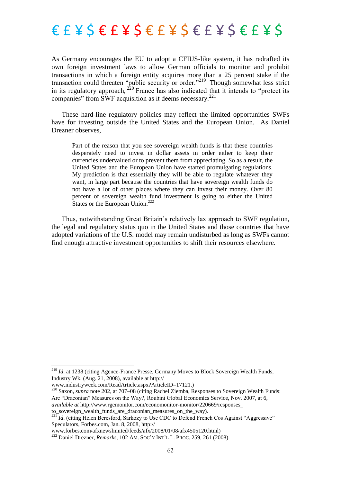As Germany encourages the EU to adopt a CFIUS-like system, it has redrafted its own foreign investment laws to allow German officials to monitor and prohibit transactions in which a foreign entity acquires more than a 25 percent stake if the transaction could threaten "public security or order."<sup>219</sup> Though somewhat less strict in its regulatory approach,  $^{220}$  France has also indicated that it intends to "protect its companies" from SWF acquisition as it deems necessary.<sup>221</sup>

These hard-line regulatory policies may reflect the limited opportunities SWFs have for investing outside the United States and the European Union. As Daniel Drezner observes,

Part of the reason that you see sovereign wealth funds is that these countries desperately need to invest in dollar assets in order either to keep their currencies undervalued or to prevent them from appreciating. So as a result, the United States and the European Union have started promulgating regulations. My prediction is that essentially they will be able to regulate whatever they want, in large part because the countries that have sovereign wealth funds do not have a lot of other places where they can invest their money. Over 80 percent of sovereign wealth fund investment is going to either the United States or the European Union.<sup>222</sup>

Thus, notwithstanding Great Britain's relatively lax approach to SWF regulation, the legal and regulatory status quo in the United States and those countries that have adopted variations of the U.S. model may remain undisturbed as long as SWFs cannot find enough attractive investment opportunities to shift their resources elsewhere.

<sup>&</sup>lt;sup>219</sup> *Id.* at 1238 (citing Agence-France Presse, Germany Moves to Block Sovereign Wealth Funds, Industry Wk. (Aug. 21, 2008), available at http://

www.industryweek.com/ReadArticle.aspx?ArticleID=17121.)

<sup>&</sup>lt;sup>220</sup> Saxon, *supra* note 202, at 707–08 (citing Rachel Ziemba, Responses to Sovereign Wealth Funds: Are "Draconian" Measures on the Way?, Roubini Global Economics Service, Nov. 2007, at 6, *available at* http://www.rgemonitor.com/economonitor-monitor/220669/responses\_ to sovereign wealth funds are draconian measures on the way).

 $22\overline{I}$  *Id.* (citing Helen Beresford, Sarkozy to Use CDC to Defend French Cos Against "Aggressive" Speculators, Forbes.com, Jan. 8, 2008, http://

www.forbes.com/afxnewslimited/feeds/afx/2008/01/08/afx4505120.html)

<sup>222</sup> Daniel Drezner, *Remarks*, 102 AM. SOC'Y INT'L L. PROC. 259, 261 (2008).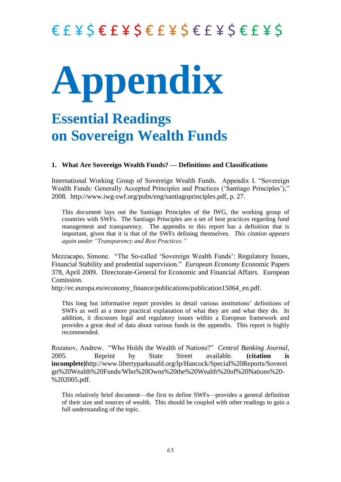# **Appendix**

### **Essential Readings on Sovereign Wealth Funds**

### **1. What Are Sovereign Wealth Funds? — Definitions and Classifications**

International Working Group of Sovereign Wealth Funds. Appendix I. "Sovereign Wealth Funds: Generally Accepted Principles and Practices ('Santiago Principles')," 2008. [http://www.iwg-swf.org/pubs/eng/santiagoprinciples.pdf,](http://www.iwg-swf.org/pubs/eng/santiagoprinciples.pdf) p. 27.

This document lays out the Santiago Principles of the IWG, the working group of countries with SWFs. The Santiago Principles are a set of best practices regarding fund management and transparency. The appendix to this report has a definition that is important, given that it is that of the SWFs defining themselves. *This citation appears again under "Transparency and Best Practices."*

Mezzacapo, Simone. "The So-called 'Sovereign Wealth Funds': Regulatory Issues, Financial Stability and prudential supervision.‖ *European Economy* Economic Papers 378, April 2009. Directorate-General for Economic and Financial Affairs. European Comission.

http://ec.europa.eu/economy\_finance/publications/publication15064\_en.pdf.

This long but informative report provides in detail various institutions' definitions of SWFs as well as a more practical explanation of what they are and what they do. In addition, it discusses legal and regulatory issues within a European framework and provides a great deal of data about various funds in the appendix. This report is highly recommended.

Rozanov, Andrew. "Who Holds the Wealth of Nations?" *Central Banking Journal*, 2005. Reprint by State Street available. **(citation is incomplete)**http://www.libertyparkusafd.org/lp/Hancock/Special%20Reports/Soverei gn%20Wealth%20Funds/Who%20Owns%20the%20Wealth%20of%20Nations%20- %202005.pdf.

This relatively brief document—the first to define SWFs—provides a general definition of their size and sources of wealth. This should be coupled with other readings to gain a full understanding of the topic.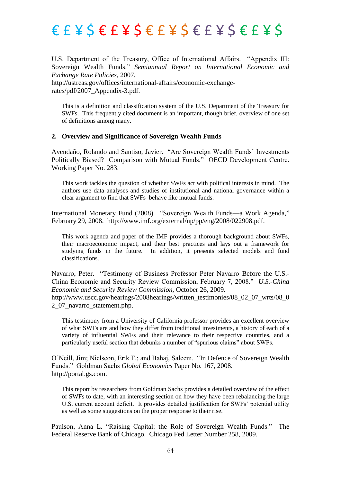U.S. Department of the Treasury, Office of International Affairs. "Appendix III: Sovereign Wealth Funds." Semiannual Report on International Economic and *Exchange Rate Policies*, 2007*.*

http://ustreas.gov/offices/international-affairs/economic-exchangerates/pdf/2007\_Appendix-3.pdf.

This is a definition and classification system of the U.S. Department of the Treasury for SWFs. This frequently cited document is an important, though brief, overview of one set of definitions among many.

#### **2. Overview and Significance of Sovereign Wealth Funds**

Avendaño, Rolando and Santiso, Javier. "Are Sovereign Wealth Funds' Investments Politically Biased? Comparison with Mutual Funds." OECD Development Centre. Working Paper No. 283.

This work tackles the question of whether SWFs act with political interests in mind. The authors use data analyses and studies of institutional and national governance within a clear argument to find that SWFs behave like mutual funds.

International Monetary Fund (2008). "Sovereign Wealth Funds—a Work Agenda," February 29, 2008. http://www.imf.org/external/np/pp/eng/2008/022908.pdf.

This work agenda and paper of the IMF provides a thorough background about SWFs, their macroeconomic impact, and their best practices and lays out a framework for studying funds in the future. In addition, it presents selected models and fund classifications.

Navarro, Peter. "Testimony of Business Professor Peter Navarro Before the U.S.-China Economic and Security Review Commission, February 7, 2008." *U.S.-China Economic and Security Review Commission,* October 26, 2009. http://www.uscc.gov/hearings/2008hearings/written\_testimonies/08\_02\_07\_wrts/08\_0 2\_07\_navarro\_statement.php.

This testimony from a University of California professor provides an excellent overview of what SWFs are and how they differ from traditional investments, a history of each of a variety of influential SWFs and their relevance to their respective countries, and a particularly useful section that debunks a number of "spurious claims" about SWFs.

O'Neill, Jim; Nielseon, Erik F.; and Bahaj, Saleem. "In Defence of Sovereign Wealth Funds.‖ Goldman Sachs *Global Economics* Paper No. 167, 2008. http://portal.gs.com.

This report by researchers from Goldman Sachs provides a detailed overview of the effect of SWFs to date, with an interesting section on how they have been rebalancing the large U.S. current account deficit. It provides detailed justification for SWFs' potential utility as well as some suggestions on the proper response to their rise.

Paulson, Anna L. "Raising Capital: the Role of Sovereign Wealth Funds." The Federal Reserve Bank of Chicago. Chicago Fed Letter Number 258, 2009.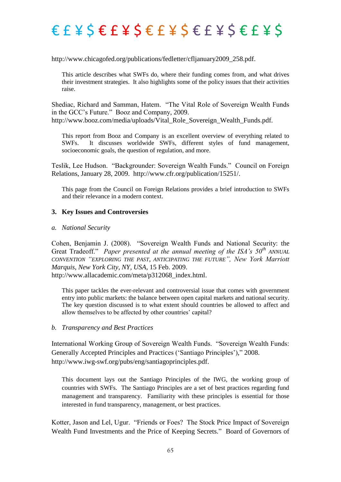### $E E E E E E E E E E E E E E E E E E E E E E$

### http://www.chicagofed.org/publications/fedletter/cfljanuary2009\_258.pdf.

This article describes what SWFs do, where their funding comes from, and what drives their investment strategies. It also highlights some of the policy issues that their activities raise.

Shediac, Richard and Samman, Hatem. "The Vital Role of Sovereign Wealth Funds in the GCC's Future." Booz and Company, 2009. http://www.booz.com/media/uploads/Vital\_Role\_Sovereign\_Wealth\_Funds.pdf.

This report from Booz and Company is an excellent overview of everything related to SWFs. It discusses worldwide SWFs, different styles of fund management, socioeconomic goals, the question of regulation, and more.

Teslik, Lee Hudson. "Backgrounder: Sovereign Wealth Funds." Council on Foreign Relations, January 28, 2009. http://www.cfr.org/publication/15251/.

This page from the Council on Foreign Relations provides a brief introduction to SWFs and their relevance in a modern context.

### **3. Key Issues and Controversies**

### *a. National Security*

Cohen, Benjamin J. (2008). "Sovereign Wealth Funds and National Security: the Great Tradeoff." *Paper presented at the annual meeting of the ISA's*  $50<sup>th</sup>$  *ANNUAL CONVENTION "EXPLORING THE PAST, ANTICIPATING THE FUTURE", New York Marriott Marquis, New York City, NY, USA*, 15 Feb. 2009. http://www.allacademic.com/meta/p312068\_index.html.

This paper tackles the ever-relevant and controversial issue that comes with government entry into public markets: the balance between open capital markets and national security. The key question discussed is to what extent should countries be allowed to affect and allow themselves to be affected by other countries' capital?

### *b. Transparency and Best Practices*

International Working Group of Sovereign Wealth Funds. "Sovereign Wealth Funds: Generally Accepted Principles and Practices ('Santiago Principles')," 2008. http://www.iwg-swf.org/pubs/eng/santiagoprinciples.pdf.

This document lays out the Santiago Principles of the IWG, the working group of countries with SWFs. The Santiago Principles are a set of best practices regarding fund management and transparency. Familiarity with these principles is essential for those interested in fund transparency, management, or best practices.

Kotter, Jason and Lel, Ugur. "Friends or Foes? The Stock Price Impact of Sovereign Wealth Fund Investments and the Price of Keeping Secrets." Board of Governors of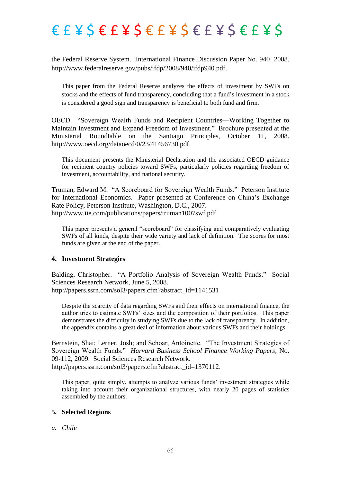the Federal Reserve System. International Finance Discussion Paper No. 940, 2008. http://www.federalreserve.gov/pubs/ifdp/2008/940/ifdp940.pdf.

This paper from the Federal Reserve analyzes the effects of investment by SWFs on stocks and the effects of fund transparency, concluding that a fund's investment in a stock is considered a good sign and transparency is beneficial to both fund and firm.

OECD. "Sovereign Wealth Funds and Recipient Countries—Working Together to Maintain Investment and Expand Freedom of Investment." Brochure presented at the Ministerial Roundtable on the Santiago Principles, October 11, 2008. http://www.oecd.org/dataoecd/0/23/41456730.pdf.

This document presents the Ministerial Declaration and the associated OECD guidance for recipient country policies toward SWFs, particularly policies regarding freedom of investment, accountability, and national security.

Truman, Edward M. "A Scoreboard for Sovereign Wealth Funds." Peterson Institute for International Economics. Paper presented at Conference on China's Exchange Rate Policy, Peterson Institute, Washington, D.C., 2007. http://www.iie.com/publications/papers/truman1007swf.pdf

This paper presents a general "scoreboard" for classifying and comparatively evaluating SWFs of all kinds, despite their wide variety and lack of definition. The scores for most funds are given at the end of the paper.

### **4. Investment Strategies**

Balding, Christopher. "A Portfolio Analysis of Sovereign Wealth Funds." Social Sciences Research Network, June 5, 2008. http://papers.ssrn.com/sol3/papers.cfm?abstract\_id=1141531

Despite the scarcity of data regarding SWFs and their effects on international finance, the author tries to estimate SWFs' sizes and the composition of their portfolios. This paper demonstrates the difficulty in studying SWFs due to the lack of transparency. In addition, the appendix contains a great deal of information about various SWFs and their holdings.

Bernstein, Shai; Lerner, Josh; and Schoar, Antoinette. "The Investment Strategies of Sovereign Wealth Funds.‖ *Harvard Business School Finance Working Papers,* No. 09-112, 2009. Social Sciences Research Network. http://papers.ssrn.com/sol3/papers.cfm?abstract\_id=1370112.

This paper, quite simply, attempts to analyze various funds' investment strategies while taking into account their organizational structures, with nearly 20 pages of statistics assembled by the authors.

### **5. Selected Regions**

*a. Chile*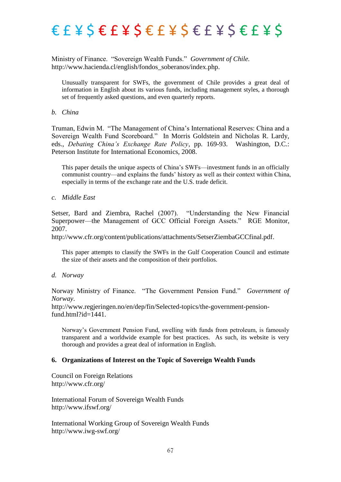Ministry of Finance. "Sovereign Wealth Funds." Government of Chile. http://www.hacienda.cl/english/fondos\_soberanos/index.php.

Unusually transparent for SWFs, the government of Chile provides a great deal of information in English about its various funds, including management styles, a thorough set of frequently asked questions, and even quarterly reports.

#### *b. China*

Truman, Edwin M. "The Management of China's International Reserves: China and a Sovereign Wealth Fund Scoreboard." In Morris Goldstein and Nicholas R. Lardy, eds., *Debating China's Exchange Rate Policy*, pp. 169-93. Washington, D.C.: Peterson Institute for International Economics, 2008.

This paper details the unique aspects of China's SWFs—investment funds in an officially communist country—and explains the funds' history as well as their context within China, especially in terms of the exchange rate and the U.S. trade deficit.

*c. Middle East*

Setser, Bard and Ziembra, Rachel (2007). 
"Understanding the New Financial Superpower—the Management of GCC Official Foreign Assets." RGE Monitor, 2007.

http://www.cfr.org/content/publications/attachments/SetserZiembaGCCfinal.pdf.

This paper attempts to classify the SWFs in the Gulf Cooperation Council and estimate the size of their assets and the composition of their portfolios.

*d. Norway*

Norway Ministry of Finance. "The Government Pension Fund." *Government of Norway*.

http://www.regjeringen.no/en/dep/fin/Selected-topics/the-government-pensionfund.html?id=1441.

Norway's Government Pension Fund, swelling with funds from petroleum, is famously transparent and a worldwide example for best practices. As such, its website is very thorough and provides a great deal of information in English.

### **6. Organizations of Interest on the Topic of Sovereign Wealth Funds**

Council on Foreign Relations http://www.cfr.org/

International Forum of Sovereign Wealth Funds http://www.ifswf.org/

International Working Group of Sovereign Wealth Funds <http://www.iwg-swf.org/>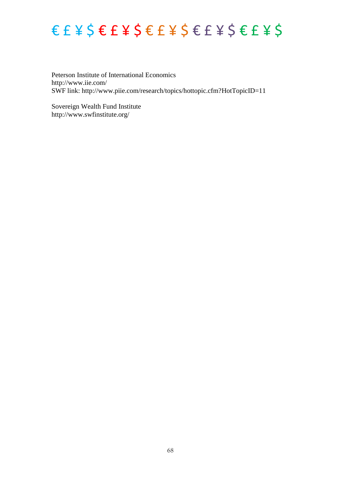### $E E E E E E E E E E E E E E E E E E E E E E$

Peterson Institute of International Economics http://www.iie.com/ SWF link: http://www.piie.com/research/topics/hottopic.cfm?HotTopicID=11

Sovereign Wealth Fund Institute http://www.swfinstitute.org/